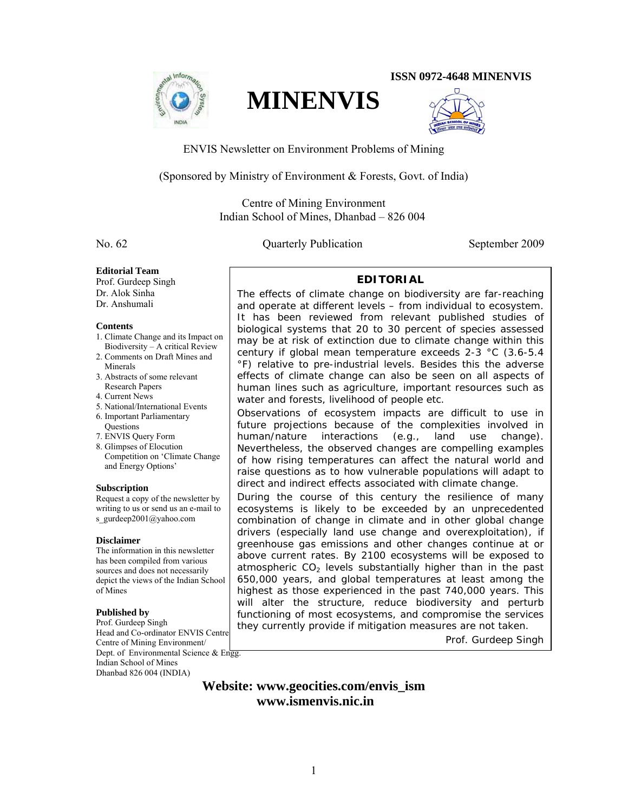

**ISSN 0972-4648 MINENVIS** 



ENVIS Newsletter on Environment Problems of Mining

**MINENVIS** 

(Sponsored by Ministry of Environment & Forests, Govt. of India)

Centre of Mining Environment Indian School of Mines, Dhanbad – 826 004

No. 62 Quarterly Publication September 2009

### **Editorial Team**

Prof. Gurdeep Singh Dr. Alok Sinha Dr. Anshumali

#### **Contents**

- 1. Climate Change and its Impact on Biodiversity – A critical Review
- 2. Comments on Draft Mines and Minerals
- 3. Abstracts of some relevant Research Papers
- 4. Current News
- 5. National/International Events
- 6. Important Parliamentary **Questions**
- 7. ENVIS Query Form
- 8. Glimpses of Elocution Competition on 'Climate Change and Energy Options'

### **Subscription**

Request a copy of the newsletter by writing to us or send us an e-mail to s\_gurdeep2001@yahoo.com

### **Disclaimer**

The information in this newsletter has been compiled from various sources and does not necessarily depict the views of the Indian School of Mines

# **Published by**

Prof. Gurdeep Singh Head and Co-ordinator ENVIS Centre Centre of Mining Environment/ Dept. of Environmental Science  $&$  Engg. Indian School of Mines Dhanbad 826 004 (INDIA)

# **EDITORIAL**

The effects of climate change on biodiversity are far-reaching and operate at different levels – from individual to ecosystem. It has been reviewed from relevant published studies of biological systems that 20 to 30 percent of species assessed may be at risk of extinction due to climate change within this century if global mean temperature exceeds 2-3 °C (3.6-5.4 °F) relative to pre-industrial levels. Besides this the adverse effects of climate change can also be seen on all aspects of human lines such as agriculture, important resources such as water and forests, livelihood of people etc.

Observations of ecosystem impacts are difficult to use in future projections because of the complexities involved in human/nature interactions (e.g., land use change). Nevertheless, the observed changes are compelling examples of how rising temperatures can affect the natural world and raise questions as to how vulnerable populations will adapt to direct and indirect effects associated with climate change.

During the course of this century the resilience of many ecosystems is likely to be exceeded by an unprecedented combination of change in climate and in other global change drivers (especially land use change and overexploitation), if greenhouse gas emissions and other changes continue at or above current rates. By 2100 ecosystems will be exposed to atmospheric  $CO<sub>2</sub>$  levels substantially higher than in the past 650,000 years, and global temperatures at least among the highest as those experienced in the past 740,000 years. This will alter the structure, reduce biodiversity and perturb functioning of most ecosystems, and compromise the services they currently provide if mitigation measures are not taken.

*Prof. Gurdeep Singh* 

# **Website: www.geocities.com/envis\_ism www.ismenvis.nic.in**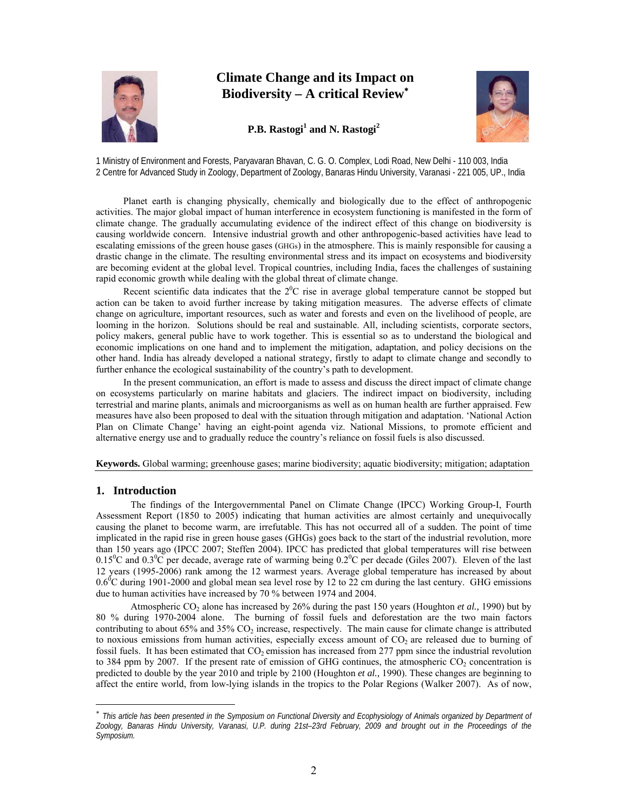

# **Climate Change and its Impact on Biodiversity – A critical Review**<sup>∗</sup>





1 Ministry of Environment and Forests, Paryavaran Bhavan, C. G. O. Complex, Lodi Road, New Delhi - 110 003, India 2 Centre for Advanced Study in Zoology, Department of Zoology, Banaras Hindu University, Varanasi - 221 005, UP., India

Planet earth is changing physically, chemically and biologically due to the effect of anthropogenic activities. The major global impact of human interference in ecosystem functioning is manifested in the form of climate change. The gradually accumulating evidence of the indirect effect of this change on biodiversity is causing worldwide concern. Intensive industrial growth and other anthropogenic-based activities have lead to escalating emissions of the green house gases (GHGs) in the atmosphere. This is mainly responsible for causing a drastic change in the climate. The resulting environmental stress and its impact on ecosystems and biodiversity are becoming evident at the global level. Tropical countries, including India, faces the challenges of sustaining rapid economic growth while dealing with the global threat of climate change.

Recent scientific data indicates that the  $2^{0}C$  rise in average global temperature cannot be stopped but action can be taken to avoid further increase by taking mitigation measures. The adverse effects of climate change on agriculture, important resources, such as water and forests and even on the livelihood of people, are looming in the horizon. Solutions should be real and sustainable. All, including scientists, corporate sectors, policy makers, general public have to work together. This is essential so as to understand the biological and economic implications on one hand and to implement the mitigation, adaptation, and policy decisions on the other hand. India has already developed a national strategy, firstly to adapt to climate change and secondly to further enhance the ecological sustainability of the country's path to development.

In the present communication, an effort is made to assess and discuss the direct impact of climate change on ecosystems particularly on marine habitats and glaciers. The indirect impact on biodiversity, including terrestrial and marine plants, animals and microorganisms as well as on human health are further appraised. Few measures have also been proposed to deal with the situation through mitigation and adaptation. 'National Action Plan on Climate Change' having an eight-point agenda viz. National Missions, to promote efficient and alternative energy use and to gradually reduce the country's reliance on fossil fuels is also discussed.

**Keywords.** Global warming; greenhouse gases; marine biodiversity; aquatic biodiversity; mitigation; adaptation

# **1. Introduction**

 $\overline{a}$ 

The findings of the Intergovernmental Panel on Climate Change (IPCC) Working Group-I, Fourth Assessment Report (1850 to 2005) indicating that human activities are almost certainly and unequivocally causing the planet to become warm, are irrefutable. This has not occurred all of a sudden. The point of time implicated in the rapid rise in green house gases (GHGs) goes back to the start of the industrial revolution, more than 150 years ago (IPCC 2007; Steffen 2004). IPCC has predicted that global temperatures will rise between 0.15<sup>o</sup>C and 0.3<sup>o</sup>C per decade, average rate of warming being 0.2<sup>o</sup>C per decade (Giles 2007). Eleven of the last 12 years (1995-2006) rank among the 12 warmest years. Average global temperature has increased by about  $0.6$ <sup>6</sup>C during 1901-2000 and global mean sea level rose by 12 to 22 cm during the last century. GHG emissions due to human activities have increased by 70 % between 1974 and 2004.

Atmospheric CO<sub>2</sub> alone has increased by 26% during the past 150 years (Houghton *et al.,* 1990) but by 80 % during 1970-2004 alone. The burning of fossil fuels and deforestation are the two main factors contributing to about 65% and 35%  $CO<sub>2</sub>$  increase, respectively. The main cause for climate change is attributed to noxious emissions from human activities, especially excess amount of  $CO<sub>2</sub>$  are released due to burning of fossil fuels. It has been estimated that  $CO<sub>2</sub>$  emission has increased from 277 ppm since the industrial revolution to 384 ppm by 2007. If the present rate of emission of GHG continues, the atmospheric  $CO_2$  concentration is predicted to double by the year 2010 and triple by 2100 (Houghton *et al.,* 1990). These changes are beginning to affect the entire world, from low-lying islands in the tropics to the Polar Regions (Walker 2007). As of now,

<sup>∗</sup> *This article has been presented in the Symposium on Functional Diversity and Ecophysiology of Animals organized by Department of Zoology, Banaras Hindu University, Varanasi, U.P. during 21st–23rd February, 2009 and brought out in the Proceedings of the Symposium.*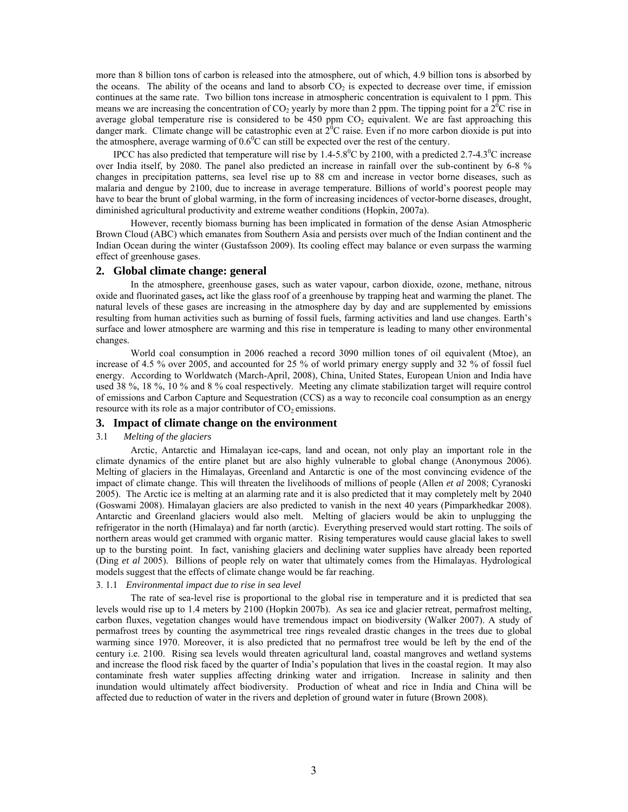more than 8 billion tons of carbon is released into the atmosphere, out of which, 4.9 billion tons is absorbed by the oceans. The ability of the oceans and land to absorb  $CO<sub>2</sub>$  is expected to decrease over time, if emission continues at the same rate. Two billion tons increase in atmospheric concentration is equivalent to 1 ppm. This means we are increasing the concentration of CO<sub>2</sub> yearly by more than 2 ppm. The tipping point for a  $2^{6}C$  rise in average global temperature rise is considered to be 450 ppm  $CO<sub>2</sub>$  equivalent. We are fast approaching this danger mark. Climate change will be catastrophic even at  $2^{6}$ C raise. Even if no more carbon dioxide is put into the atmosphere, average warming of  $0.6^{\circ}$ C can still be expected over the rest of the century.

IPCC has also predicted that temperature will rise by 1.4-5.8<sup>0</sup>C by 2100, with a predicted 2.7-4.3<sup>0</sup>C increase over India itself, by 2080. The panel also predicted an increase in rainfall over the sub-continent by 6-8 % changes in precipitation patterns, sea level rise up to 88 cm and increase in vector borne diseases, such as malaria and dengue by 2100, due to increase in average temperature. Billions of world's poorest people may have to bear the brunt of global warming, in the form of increasing incidences of vector-borne diseases, drought, diminished agricultural productivity and extreme weather conditions (Hopkin, 2007a).

However, recently biomass burning has been implicated in formation of the dense Asian Atmospheric Brown Cloud (ABC) which emanates from Southern Asia and persists over much of the Indian continent and the Indian Ocean during the winter (Gustafsson 2009). Its cooling effect may balance or even surpass the warming effect of greenhouse gases.

## **2. Global climate change: general**

In the atmosphere, greenhouse gases, such as water vapour, carbon dioxide, ozone, methane, nitrous oxide and fluorinated gases**,** act like the glass roof of a greenhouse by trapping heat and warming the planet. The natural levels of these gases are increasing in the atmosphere day by day and are supplemented by emissions resulting from human activities such as burning of fossil fuels, farming activities and land use changes. Earth's surface and lower atmosphere are warming and this rise in temperature is leading to many other environmental changes.

World coal consumption in 2006 reached a record 3090 million tones of oil equivalent (Mtoe), an increase of 4.5 % over 2005, and accounted for 25 % of world primary energy supply and 32 % of fossil fuel energy. According to Worldwatch (March-April, 2008), China, United States, European Union and India have used 38 %, 18 %, 10 % and 8 % coal respectively. Meeting any climate stabilization target will require control of emissions and Carbon Capture and Sequestration (CCS) as a way to reconcile coal consumption as an energy resource with its role as a major contributor of  $CO<sub>2</sub>$  emissions.

# **3. Impact of climate change on the environment**

### 3.1 *Melting of the glaciers*

Arctic, Antarctic and Himalayan ice-caps, land and ocean, not only play an important role in the climate dynamics of the entire planet but are also highly vulnerable to global change (Anonymous 2006). Melting of glaciers in the Himalayas, Greenland and Antarctic is one of the most convincing evidence of the impact of climate change. This will threaten the livelihoods of millions of people (Allen *et al* 2008; Cyranoski 2005). The Arctic ice is melting at an alarming rate and it is also predicted that it may completely melt by 2040 (Goswami 2008). Himalayan glaciers are also predicted to vanish in the next 40 years (Pimparkhedkar 2008). Antarctic and Greenland glaciers would also melt. Melting of glaciers would be akin to unplugging the refrigerator in the north (Himalaya) and far north (arctic). Everything preserved would start rotting. The soils of northern areas would get crammed with organic matter. Rising temperatures would cause glacial lakes to swell up to the bursting point. In fact, vanishing glaciers and declining water supplies have already been reported (Ding *et al* 2005). Billions of people rely on water that ultimately comes from the Himalayas. Hydrological models suggest that the effects of climate change would be far reaching.

#### 3. 1.1 *Environmental impact due to rise in sea level*

The rate of sea-level rise is proportional to the global rise in temperature and it is predicted that sea levels would rise up to 1.4 meters by 2100 (Hopkin 2007b). As sea ice and glacier retreat, permafrost melting, carbon fluxes, vegetation changes would have tremendous impact on biodiversity (Walker 2007). A study of permafrost trees by counting the asymmetrical tree rings revealed drastic changes in the trees due to global warming since 1970. Moreover, it is also predicted that no permafrost tree would be left by the end of the century i.e. 2100. Rising sea levels would threaten agricultural land, coastal mangroves and wetland systems and increase the flood risk faced by the quarter of India's population that lives in the coastal region. It may also contaminate fresh water supplies affecting drinking water and irrigation. Increase in salinity and then inundation would ultimately affect biodiversity. Production of wheat and rice in India and China will be affected due to reduction of water in the rivers and depletion of ground water in future (Brown 2008).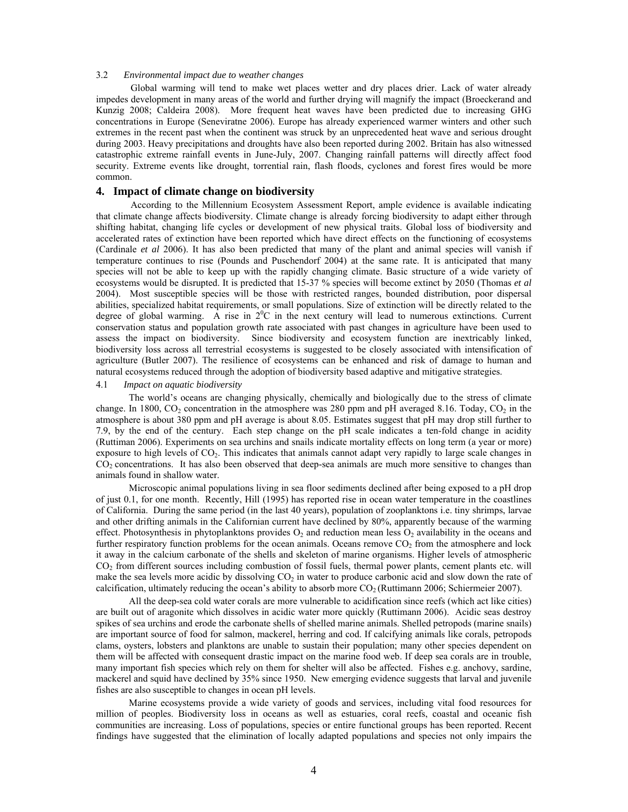#### 3.2 *Environmental impact due to weather changes*

Global warming will tend to make wet places wetter and dry places drier. Lack of water already impedes development in many areas of the world and further drying will magnify the impact (Broeckerand and Kunzig 2008; Caldeira 2008). More frequent heat waves have been predicted due to increasing GHG concentrations in Europe (Seneviratne 2006). Europe has already experienced warmer winters and other such extremes in the recent past when the continent was struck by an unprecedented heat wave and serious drought during 2003. Heavy precipitations and droughts have also been reported during 2002. Britain has also witnessed catastrophic extreme rainfall events in June-July, 2007. Changing rainfall patterns will directly affect food security. Extreme events like drought, torrential rain, flash floods, cyclones and forest fires would be more common.

### **4. Impact of climate change on biodiversity**

According to the Millennium Ecosystem Assessment Report, ample evidence is available indicating that climate change affects biodiversity. Climate change is already forcing biodiversity to adapt either through shifting habitat, changing life cycles or development of new physical traits. Global loss of biodiversity and accelerated rates of extinction have been reported which have direct effects on the functioning of ecosystems (Cardinale *et al* 2006). It has also been predicted that many of the plant and animal species will vanish if temperature continues to rise (Pounds and Puschendorf 2004) at the same rate. It is anticipated that many species will not be able to keep up with the rapidly changing climate. Basic structure of a wide variety of ecosystems would be disrupted. It is predicted that 15-37 % species will become extinct by 2050 (Thomas *et al* 2004). Most susceptible species will be those with restricted ranges, bounded distribution, poor dispersal abilities, specialized habitat requirements, or small populations. Size of extinction will be directly related to the degree of global warming. A rise in  $2^{0}C$  in the next century will lead to numerous extinctions. Current conservation status and population growth rate associated with past changes in agriculture have been used to assess the impact on biodiversity. Since biodiversity and ecosystem function are inextricably linked, biodiversity loss across all terrestrial ecosystems is suggested to be closely associated with intensification of agriculture (Butler 2007). The resilience of ecosystems can be enhanced and risk of damage to human and natural ecosystems reduced through the adoption of biodiversity based adaptive and mitigative strategies.

#### 4.1 *Impact on aquatic biodiversity*

The world's oceans are changing physically, chemically and biologically due to the stress of climate change. In 1800,  $CO_2$  concentration in the atmosphere was 280 ppm and pH averaged 8.16. Today,  $CO_2$  in the atmosphere is about 380 ppm and pH average is about 8.05. Estimates suggest that pH may drop still further to 7.9, by the end of the century. Each step change on the pH scale indicates a ten-fold change in acidity (Ruttiman 2006). Experiments on sea urchins and snails indicate mortality effects on long term (a year or more) exposure to high levels of CO2. This indicates that animals cannot adapt very rapidly to large scale changes in  $CO<sub>2</sub>$  concentrations. It has also been observed that deep-sea animals are much more sensitive to changes than animals found in shallow water.

Microscopic animal populations living in sea floor sediments declined after being exposed to a pH drop of just 0.1, for one month. Recently, Hill (1995) has reported rise in ocean water temperature in the coastlines of California. During the same period (in the last 40 years), population of zooplanktons i.e. tiny shrimps, larvae and other drifting animals in the Californian current have declined by 80%, apparently because of the warming effect. Photosynthesis in phytoplanktons provides  $O_2$  and reduction mean less  $O_2$  availability in the oceans and further respiratory function problems for the ocean animals. Oceans remove  $CO<sub>2</sub>$  from the atmosphere and lock it away in the calcium carbonate of the shells and skeleton of marine organisms. Higher levels of atmospheric CO2 from different sources including combustion of fossil fuels, thermal power plants, cement plants etc. will make the sea levels more acidic by dissolving  $CO<sub>2</sub>$  in water to produce carbonic acid and slow down the rate of calcification, ultimately reducing the ocean's ability to absorb more  $CO<sub>2</sub>$  (Ruttimann 2006; Schiermeier 2007).

All the deep-sea cold water corals are more vulnerable to acidification since reefs (which act like cities) are built out of aragonite which dissolves in acidic water more quickly (Ruttimann 2006). Acidic seas destroy spikes of sea urchins and erode the carbonate shells of shelled marine animals. Shelled petropods (marine snails) are important source of food for salmon, mackerel, herring and cod. If calcifying animals like corals, petropods clams, oysters, lobsters and planktons are unable to sustain their population; many other species dependent on them will be affected with consequent drastic impact on the marine food web. If deep sea corals are in trouble, many important fish species which rely on them for shelter will also be affected. Fishes e.g. anchovy, sardine, mackerel and squid have declined by 35% since 1950. New emerging evidence suggests that larval and juvenile fishes are also susceptible to changes in ocean pH levels.

Marine ecosystems provide a wide variety of goods and services, including vital food resources for million of peoples. Biodiversity loss in oceans as well as estuaries, coral reefs, coastal and oceanic fish communities are increasing. Loss of populations, species or entire functional groups has been reported. Recent findings have suggested that the elimination of locally adapted populations and species not only impairs the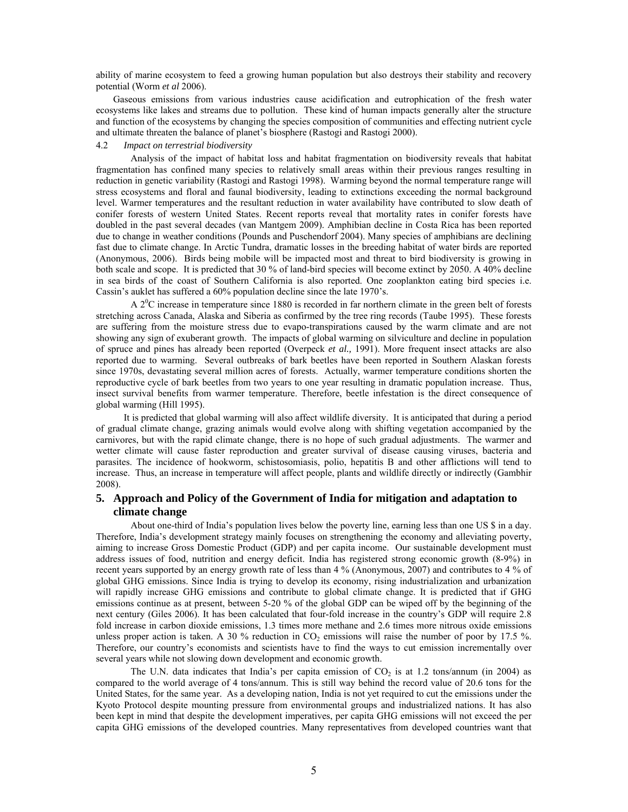ability of marine ecosystem to feed a growing human population but also destroys their stability and recovery potential (Worm *et al* 2006).

Gaseous emissions from various industries cause acidification and eutrophication of the fresh water ecosystems like lakes and streams due to pollution. These kind of human impacts generally alter the structure and function of the ecosystems by changing the species composition of communities and effecting nutrient cycle and ultimate threaten the balance of planet's biosphere (Rastogi and Rastogi 2000).

#### 4.2 *Impact on terrestrial biodiversity*

Analysis of the impact of habitat loss and habitat fragmentation on biodiversity reveals that habitat fragmentation has confined many species to relatively small areas within their previous ranges resulting in reduction in genetic variability (Rastogi and Rastogi 1998). Warming beyond the normal temperature range will stress ecosystems and floral and faunal biodiversity, leading to extinctions exceeding the normal background level. Warmer temperatures and the resultant reduction in water availability have contributed to slow death of conifer forests of western United States. Recent reports reveal that mortality rates in conifer forests have doubled in the past several decades (van Mantgem 2009). Amphibian decline in Costa Rica has been reported due to change in weather conditions (Pounds and Puschendorf 2004). Many species of amphibians are declining fast due to climate change. In Arctic Tundra, dramatic losses in the breeding habitat of water birds are reported (Anonymous, 2006). Birds being mobile will be impacted most and threat to bird biodiversity is growing in both scale and scope. It is predicted that 30 % of land-bird species will become extinct by 2050. A 40% decline in sea birds of the coast of Southern California is also reported. One zooplankton eating bird species i.e. Cassin's auklet has suffered a 60% population decline since the late 1970's.

A  $2^{\circ}$ C increase in temperature since 1880 is recorded in far northern climate in the green belt of forests stretching across Canada, Alaska and Siberia as confirmed by the tree ring records (Taube 1995). These forests are suffering from the moisture stress due to evapo-transpirations caused by the warm climate and are not showing any sign of exuberant growth. The impacts of global warming on silviculture and decline in population of spruce and pines has already been reported (Overpeck *et al.,* 1991). More frequent insect attacks are also reported due to warming. Several outbreaks of bark beetles have been reported in Southern Alaskan forests since 1970s, devastating several million acres of forests. Actually, warmer temperature conditions shorten the reproductive cycle of bark beetles from two years to one year resulting in dramatic population increase. Thus, insect survival benefits from warmer temperature. Therefore, beetle infestation is the direct consequence of global warming (Hill 1995).

 It is predicted that global warming will also affect wildlife diversity. It is anticipated that during a period of gradual climate change, grazing animals would evolve along with shifting vegetation accompanied by the carnivores, but with the rapid climate change, there is no hope of such gradual adjustments. The warmer and wetter climate will cause faster reproduction and greater survival of disease causing viruses, bacteria and parasites. The incidence of hookworm, schistosomiasis, polio, hepatitis B and other afflictions will tend to increase. Thus, an increase in temperature will affect people, plants and wildlife directly or indirectly (Gambhir 2008).

# **5. Approach and Policy of the Government of India for mitigation and adaptation to climate change**

About one-third of India's population lives below the poverty line, earning less than one US \$ in a day. Therefore, India's development strategy mainly focuses on strengthening the economy and alleviating poverty, aiming to increase Gross Domestic Product (GDP) and per capita income. Our sustainable development must address issues of food, nutrition and energy deficit. India has registered strong economic growth (8-9%) in recent years supported by an energy growth rate of less than 4 % (Anonymous, 2007) and contributes to 4 % of global GHG emissions. Since India is trying to develop its economy, rising industrialization and urbanization will rapidly increase GHG emissions and contribute to global climate change. It is predicted that if GHG emissions continue as at present, between 5-20 % of the global GDP can be wiped off by the beginning of the next century (Giles 2006). It has been calculated that four-fold increase in the country's GDP will require 2.8 fold increase in carbon dioxide emissions, 1.3 times more methane and 2.6 times more nitrous oxide emissions unless proper action is taken. A 30 % reduction in  $CO<sub>2</sub>$  emissions will raise the number of poor by 17.5 %. Therefore, our country's economists and scientists have to find the ways to cut emission incrementally over several years while not slowing down development and economic growth.

The U.N. data indicates that India's per capita emission of  $CO<sub>2</sub>$  is at 1.2 tons/annum (in 2004) as compared to the world average of 4 tons/annum. This is still way behind the record value of 20.6 tons for the United States, for the same year. As a developing nation, India is not yet required to cut the emissions under the Kyoto Protocol despite mounting pressure from environmental groups and industrialized nations. It has also been kept in mind that despite the development imperatives, per capita GHG emissions will not exceed the per capita GHG emissions of the developed countries. Many representatives from developed countries want that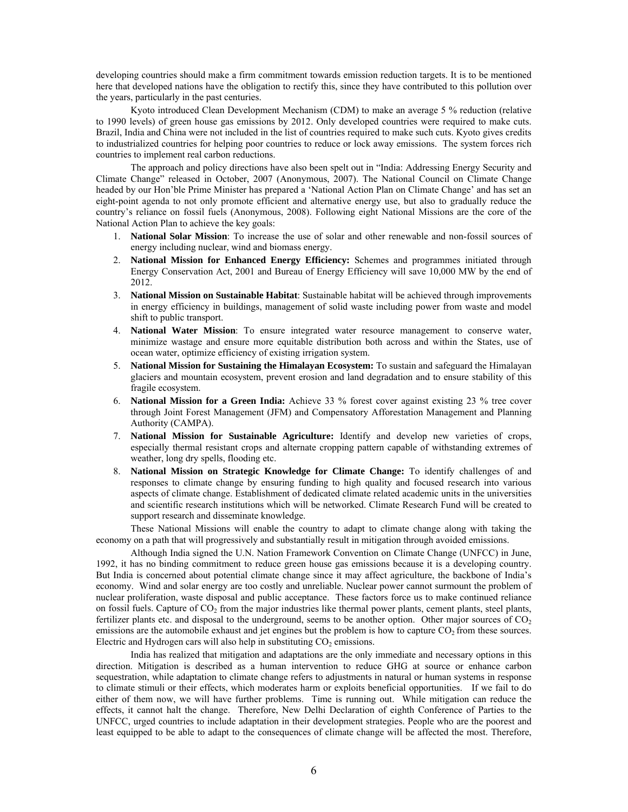developing countries should make a firm commitment towards emission reduction targets. It is to be mentioned here that developed nations have the obligation to rectify this, since they have contributed to this pollution over the years, particularly in the past centuries.

Kyoto introduced Clean Development Mechanism (CDM) to make an average 5 % reduction (relative to 1990 levels) of green house gas emissions by 2012. Only developed countries were required to make cuts. Brazil, India and China were not included in the list of countries required to make such cuts. Kyoto gives credits to industrialized countries for helping poor countries to reduce or lock away emissions. The system forces rich countries to implement real carbon reductions.

The approach and policy directions have also been spelt out in "India: Addressing Energy Security and Climate Change" released in October, 2007 (Anonymous, 2007). The National Council on Climate Change headed by our Hon'ble Prime Minister has prepared a 'National Action Plan on Climate Change' and has set an eight-point agenda to not only promote efficient and alternative energy use, but also to gradually reduce the country's reliance on fossil fuels (Anonymous, 2008). Following eight National Missions are the core of the National Action Plan to achieve the key goals:

- 1. **National Solar Mission**: To increase the use of solar and other renewable and non-fossil sources of energy including nuclear, wind and biomass energy.
- 2. **National Mission for Enhanced Energy Efficiency:** Schemes and programmes initiated through Energy Conservation Act, 2001 and Bureau of Energy Efficiency will save 10,000 MW by the end of 2012.
- 3. **National Mission on Sustainable Habitat**: Sustainable habitat will be achieved through improvements in energy efficiency in buildings, management of solid waste including power from waste and model shift to public transport.
- 4. **National Water Mission**: To ensure integrated water resource management to conserve water, minimize wastage and ensure more equitable distribution both across and within the States, use of ocean water, optimize efficiency of existing irrigation system.
- 5. **National Mission for Sustaining the Himalayan Ecosystem:** To sustain and safeguard the Himalayan glaciers and mountain ecosystem, prevent erosion and land degradation and to ensure stability of this fragile ecosystem.
- 6. **National Mission for a Green India:** Achieve 33 % forest cover against existing 23 % tree cover through Joint Forest Management (JFM) and Compensatory Afforestation Management and Planning Authority (CAMPA).
- 7. **National Mission for Sustainable Agriculture:** Identify and develop new varieties of crops, especially thermal resistant crops and alternate cropping pattern capable of withstanding extremes of weather, long dry spells, flooding etc.
- 8. **National Mission on Strategic Knowledge for Climate Change:** To identify challenges of and responses to climate change by ensuring funding to high quality and focused research into various aspects of climate change. Establishment of dedicated climate related academic units in the universities and scientific research institutions which will be networked. Climate Research Fund will be created to support research and disseminate knowledge.

These National Missions will enable the country to adapt to climate change along with taking the economy on a path that will progressively and substantially result in mitigation through avoided emissions.

Although India signed the U.N. Nation Framework Convention on Climate Change (UNFCC) in June, 1992, it has no binding commitment to reduce green house gas emissions because it is a developing country. But India is concerned about potential climate change since it may affect agriculture, the backbone of India's economy. Wind and solar energy are too costly and unreliable. Nuclear power cannot surmount the problem of nuclear proliferation, waste disposal and public acceptance. These factors force us to make continued reliance on fossil fuels. Capture of  $CO<sub>2</sub>$  from the major industries like thermal power plants, cement plants, steel plants, fertilizer plants etc. and disposal to the underground, seems to be another option. Other major sources of  $CO<sub>2</sub>$ emissions are the automobile exhaust and jet engines but the problem is how to capture  $CO<sub>2</sub>$  from these sources. Electric and Hydrogen cars will also help in substituting  $CO<sub>2</sub>$  emissions.

India has realized that mitigation and adaptations are the only immediate and necessary options in this direction. Mitigation is described as a human intervention to reduce GHG at source or enhance carbon sequestration, while adaptation to climate change refers to adjustments in natural or human systems in response to climate stimuli or their effects, which moderates harm or exploits beneficial opportunities. If we fail to do either of them now, we will have further problems. Time is running out. While mitigation can reduce the effects, it cannot halt the change. Therefore, New Delhi Declaration of eighth Conference of Parties to the UNFCC, urged countries to include adaptation in their development strategies. People who are the poorest and least equipped to be able to adapt to the consequences of climate change will be affected the most. Therefore,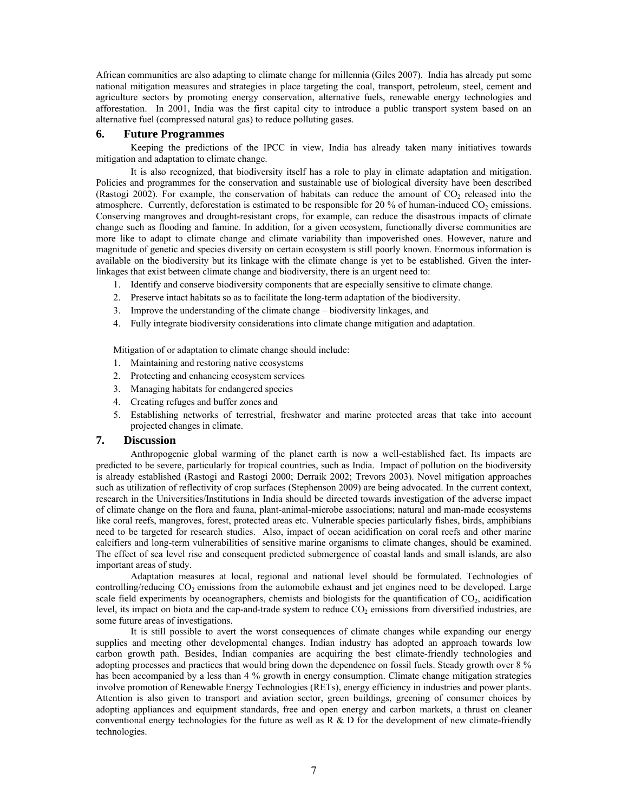African communities are also adapting to climate change for millennia (Giles 2007). India has already put some national mitigation measures and strategies in place targeting the coal, transport, petroleum, steel, cement and agriculture sectors by promoting energy conservation, alternative fuels, renewable energy technologies and afforestation. In 2001, India was the first capital city to introduce a public transport system based on an alternative fuel (compressed natural gas) to reduce polluting gases.

## **6. Future Programmes**

Keeping the predictions of the IPCC in view, India has already taken many initiatives towards mitigation and adaptation to climate change.

It is also recognized, that biodiversity itself has a role to play in climate adaptation and mitigation. Policies and programmes for the conservation and sustainable use of biological diversity have been described (Rastogi 2002). For example, the conservation of habitats can reduce the amount of  $CO<sub>2</sub>$  released into the atmosphere. Currently, deforestation is estimated to be responsible for 20 % of human-induced  $CO<sub>2</sub>$  emissions. Conserving mangroves and drought-resistant crops, for example, can reduce the disastrous impacts of climate change such as flooding and famine. In addition, for a given ecosystem, functionally diverse communities are more like to adapt to climate change and climate variability than impoverished ones. However, nature and magnitude of genetic and species diversity on certain ecosystem is still poorly known. Enormous information is available on the biodiversity but its linkage with the climate change is yet to be established. Given the interlinkages that exist between climate change and biodiversity, there is an urgent need to:

- 1. Identify and conserve biodiversity components that are especially sensitive to climate change.
- 2. Preserve intact habitats so as to facilitate the long-term adaptation of the biodiversity.
- 3. Improve the understanding of the climate change biodiversity linkages, and
- 4. Fully integrate biodiversity considerations into climate change mitigation and adaptation.

Mitigation of or adaptation to climate change should include:

- 1. Maintaining and restoring native ecosystems
- 2. Protecting and enhancing ecosystem services
- 3. Managing habitats for endangered species
- 4. Creating refuges and buffer zones and
- 5. Establishing networks of terrestrial, freshwater and marine protected areas that take into account projected changes in climate.

#### **7. Discussion**

Anthropogenic global warming of the planet earth is now a well-established fact. Its impacts are predicted to be severe, particularly for tropical countries, such as India. Impact of pollution on the biodiversity is already established (Rastogi and Rastogi 2000; Derraik 2002; Trevors 2003). Novel mitigation approaches such as utilization of reflectivity of crop surfaces (Stephenson 2009) are being advocated. In the current context, research in the Universities/Institutions in India should be directed towards investigation of the adverse impact of climate change on the flora and fauna, plant-animal-microbe associations; natural and man-made ecosystems like coral reefs, mangroves, forest, protected areas etc. Vulnerable species particularly fishes, birds, amphibians need to be targeted for research studies. Also, impact of ocean acidification on coral reefs and other marine calcifiers and long-term vulnerabilities of sensitive marine organisms to climate changes, should be examined. The effect of sea level rise and consequent predicted submergence of coastal lands and small islands, are also important areas of study.

Adaptation measures at local, regional and national level should be formulated. Technologies of controlling/reducing  $CO<sub>2</sub>$  emissions from the automobile exhaust and jet engines need to be developed. Large scale field experiments by oceanographers, chemists and biologists for the quantification of  $CO<sub>2</sub>$ , acidification level, its impact on biota and the cap-and-trade system to reduce  $CO<sub>2</sub>$  emissions from diversified industries, are some future areas of investigations.

It is still possible to avert the worst consequences of climate changes while expanding our energy supplies and meeting other developmental changes. Indian industry has adopted an approach towards low carbon growth path. Besides, Indian companies are acquiring the best climate-friendly technologies and adopting processes and practices that would bring down the dependence on fossil fuels. Steady growth over 8 % has been accompanied by a less than 4 % growth in energy consumption. Climate change mitigation strategies involve promotion of Renewable Energy Technologies (RETs), energy efficiency in industries and power plants. Attention is also given to transport and aviation sector, green buildings, greening of consumer choices by adopting appliances and equipment standards, free and open energy and carbon markets, a thrust on cleaner conventional energy technologies for the future as well as  $R \& D$  for the development of new climate-friendly technologies.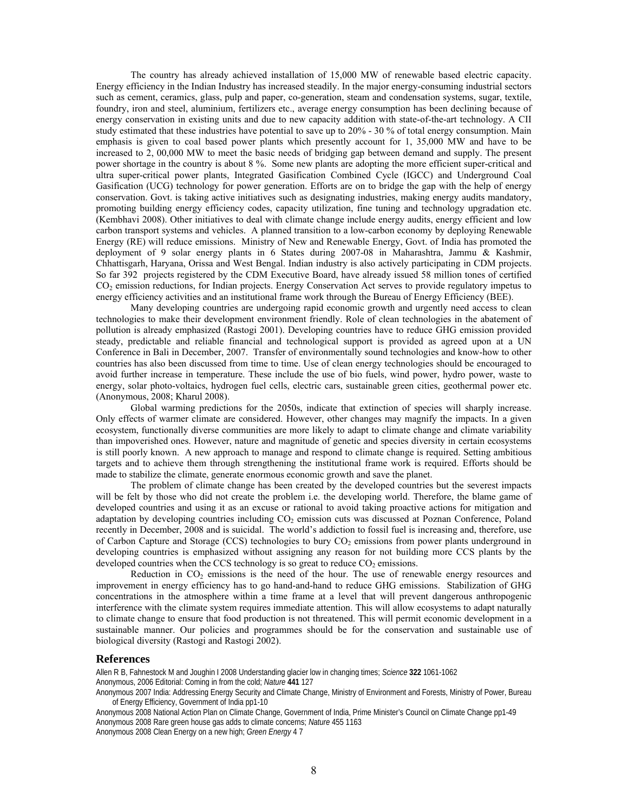The country has already achieved installation of 15,000 MW of renewable based electric capacity. Energy efficiency in the Indian Industry has increased steadily. In the major energy-consuming industrial sectors such as cement, ceramics, glass, pulp and paper, co-generation, steam and condensation systems, sugar, textile, foundry, iron and steel, aluminium, fertilizers etc., average energy consumption has been declining because of energy conservation in existing units and due to new capacity addition with state-of-the-art technology. A CII study estimated that these industries have potential to save up to 20% - 30 % of total energy consumption. Main emphasis is given to coal based power plants which presently account for 1, 35,000 MW and have to be increased to 2, 00,000 MW to meet the basic needs of bridging gap between demand and supply. The present power shortage in the country is about 8 %. Some new plants are adopting the more efficient super-critical and ultra super-critical power plants, Integrated Gasification Combined Cycle (IGCC) and Underground Coal Gasification (UCG) technology for power generation. Efforts are on to bridge the gap with the help of energy conservation. Govt. is taking active initiatives such as designating industries, making energy audits mandatory, promoting building energy efficiency codes, capacity utilization, fine tuning and technology upgradation etc. (Kembhavi 2008). Other initiatives to deal with climate change include energy audits, energy efficient and low carbon transport systems and vehicles. A planned transition to a low-carbon economy by deploying Renewable Energy (RE) will reduce emissions. Ministry of New and Renewable Energy, Govt. of India has promoted the deployment of 9 solar energy plants in 6 States during 2007-08 in Maharashtra, Jammu & Kashmir, Chhattisgarh, Haryana, Orissa and West Bengal. Indian industry is also actively participating in CDM projects. So far 392 projects registered by the CDM Executive Board, have already issued 58 million tones of certified CO2 emission reductions, for Indian projects. Energy Conservation Act serves to provide regulatory impetus to energy efficiency activities and an institutional frame work through the Bureau of Energy Efficiency (BEE).

Many developing countries are undergoing rapid economic growth and urgently need access to clean technologies to make their development environment friendly. Role of clean technologies in the abatement of pollution is already emphasized (Rastogi 2001). Developing countries have to reduce GHG emission provided steady, predictable and reliable financial and technological support is provided as agreed upon at a UN Conference in Bali in December, 2007. Transfer of environmentally sound technologies and know-how to other countries has also been discussed from time to time. Use of clean energy technologies should be encouraged to avoid further increase in temperature. These include the use of bio fuels, wind power, hydro power, waste to energy, solar photo-voltaics, hydrogen fuel cells, electric cars, sustainable green cities, geothermal power etc. (Anonymous, 2008; Kharul 2008).

Global warming predictions for the 2050s, indicate that extinction of species will sharply increase. Only effects of warmer climate are considered. However, other changes may magnify the impacts. In a given ecosystem, functionally diverse communities are more likely to adapt to climate change and climate variability than impoverished ones. However, nature and magnitude of genetic and species diversity in certain ecosystems is still poorly known. A new approach to manage and respond to climate change is required. Setting ambitious targets and to achieve them through strengthening the institutional frame work is required. Efforts should be made to stabilize the climate, generate enormous economic growth and save the planet.

The problem of climate change has been created by the developed countries but the severest impacts will be felt by those who did not create the problem i.e. the developing world. Therefore, the blame game of developed countries and using it as an excuse or rational to avoid taking proactive actions for mitigation and adaptation by developing countries including CO<sub>2</sub> emission cuts was discussed at Poznan Conference, Poland recently in December, 2008 and is suicidal. The world's addiction to fossil fuel is increasing and, therefore, use of Carbon Capture and Storage (CCS) technologies to bury  $CO<sub>2</sub>$  emissions from power plants underground in developing countries is emphasized without assigning any reason for not building more CCS plants by the developed countries when the CCS technology is so great to reduce  $CO<sub>2</sub>$  emissions.

Reduction in  $CO<sub>2</sub>$  emissions is the need of the hour. The use of renewable energy resources and improvement in energy efficiency has to go hand-and-hand to reduce GHG emissions. Stabilization of GHG concentrations in the atmosphere within a time frame at a level that will prevent dangerous anthropogenic interference with the climate system requires immediate attention. This will allow ecosystems to adapt naturally to climate change to ensure that food production is not threatened. This will permit economic development in a sustainable manner. Our policies and programmes should be for the conservation and sustainable use of biological diversity (Rastogi and Rastogi 2002).

# **References**

Allen R B, Fahnestock M and Joughin I 2008 Understanding glacier low in changing times; *Science* **322** 1061-1062 Anonymous, 2006 Editorial: Coming in from the cold; *Nature* **441** 127

Anonymous 2007 India: Addressing Energy Security and Climate Change, Ministry of Environment and Forests, Ministry of Power, Bureau of Energy Efficiency, Government of India pp1-10

Anonymous 2008 National Action Plan on Climate Change, Government of India, Prime Minister's Council on Climate Change pp1-49 Anonymous 2008 Rare green house gas adds to climate concerns; *Nature* 455 1163 Anonymous 2008 Clean Energy on a new high; *Green Energy* 4 7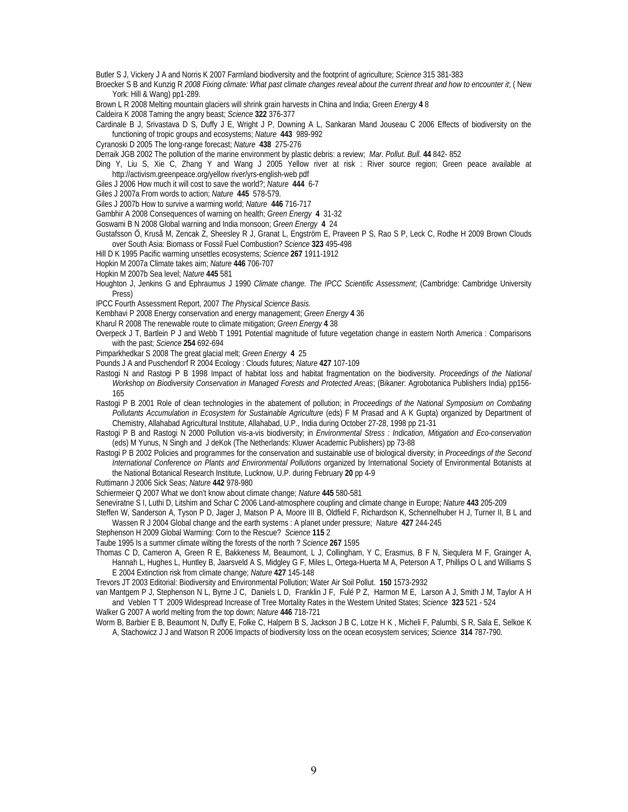Butler S J, Vickery J A and Norris K 2007 Farmland biodiversity and the footprint of agriculture; *Science* 315 381-383

Broecker S B and Kunzig R *2008 Fixing climate: What past climate changes reveal about the current threat and how to encounter it*; ( New York: Hill & Wang) pp1-289.

Brown L R 2008 Melting mountain glaciers will shrink grain harvests in China and India; Green *Energy* **4** 8

Caldeira K 2008 Taming the angry beast; *Science* **322** 376-377

Cardinale B J, Srivastava D S, Duffy J E, Wright J P, Downing A L, Sankaran Mand Jouseau C 2006 Effects of biodiversity on the functioning of tropic groups and ecosystems; *Nature* **443** 989-992

Cyranoski D 2005 The long-range forecast; *Nature* **438** 275-276

Derraik JGB 2002 The pollution of the marine environment by plastic debris: a review; *Mar. Pollut. Bull.* **44** 842- 852

Ding Y, Liu S, Xie C, Zhang Y and Wang J 2005 Yellow river at risk : River source region; Green peace available at http://activism.greenpeace.org/yellow river/yrs-english-web pdf

Giles J 2006 How much it will cost to save the world?; *Nature* **444** 6-7

Giles J 2007a From words to action; *Nature* **445** 578-579.

Giles J 2007b How to survive a warming world; *Nature* **446** 716-717

Gambhir A 2008 Consequences of warning on health; *Green Energy* **4** 31-32

Goswami B N 2008 Global warning and India monsoon; *Green Energy* **4** 24

Gustafsson Ö, Kruså M, Zencak Z, Sheesley R J, Granat L, Engström E, Praveen P S, Rao S P, Leck C, Rodhe H 2009 Brown Clouds over South Asia: Biomass or Fossil Fuel Combustion? *Science* **323** 495-498

Hill D K 1995 Pacific warming unsettles ecosystems; *Science* **267** 1911-1912

Hopkin M 2007a Climate takes aim; *Nature* **446** 706-707

Hopkin M 2007b Sea level; *Nature* **445** 581

Houghton J, Jenkins G and Ephraumus J 1990 *Climate change. The IPCC Scientific Assessment*; (Cambridge: Cambridge University Press)

IPCC Fourth Assessment Report, 2007 *The Physical Science Basis.*

Kembhavi P 2008 Energy conservation and energy management; *Green Energy* **4** 36

Kharul R 2008 The renewable route to climate mitigation; *Green Energy* **4** 38

Overpeck J T, Bartlein P J and Webb T 1991 Potential magnitude of future vegetation change in eastern North America : Comparisons with the past; *Science* **254** 692-694

Pimparkhedkar S 2008 The great glacial melt; *Green Energy* **4** 25

Pounds J A and Puschendorf R 2004 Ecology : Clouds futures; *Nature* **427** 107-109

Rastogi N and Rastogi P B 1998 Impact of habitat loss and habitat fragmentation on the biodiversity. *Proceedings of the National Workshop on Biodiversity Conservation in Managed Forests and Protected Areas*; (Bikaner: Agrobotanica Publishers India) pp156- 165

Rastogi P B 2001 Role of clean technologies in the abatement of pollution; in *Proceedings of the National Symposium on Combating Pollutants Accumulation in Ecosystem for Sustainable Agriculture* (eds) F M Prasad and A K Gupta) organized by Department of Chemistry, Allahabad Agricultural Institute, Allahabad, U.P., India during October 27-28, 1998 pp 21-31

Rastogi P B and Rastogi N 2000 Pollution vis-a-vis biodiversity; in *Environmental Stress : Indication, Mitigation and Eco-conservation* (eds) M Yunus, N Singh and J deKok (The Netherlands: Kluwer Academic Publishers) pp 73-88

Rastogi P B 2002 Policies and programmes for the conservation and sustainable use of biological diversity; in *Proceedings of the Second International Conference on Plants and Environmental Pollutions* organized by International Society of Environmental Botanists at the National Botanical Research Institute, Lucknow, U.P. during February **20** pp 4-9

Ruttimann J 2006 Sick Seas; *Nature* **442** 978-980

Schiermeier Q 2007 What we don't know about climate change; *Nature* **445** 580-581

Seneviratne S I, Luthi D, Litshim and Schar C 2006 Land-atmosphere coupling and climate change in Europe; *Nature* **443** 205-209

Steffen W, Sanderson A, Tyson P D, Jager J, Matson P A, Moore III B, Oldfield F, Richardson K, Schennelhuber H J, Turner II, B L and Wassen R J 2004 Global change and the earth systems : A planet under pressure; *Nature* **427** 244-245

Stephenson H 2009 Global Warming: Corn to the Rescue? *Science* **115** 2

Taube 1995 Is a summer climate wilting the forests of the north ? *Science* **267** 1595

Thomas C D, Cameron A, Green R E, Bakkeness M, Beaumont, L J, Collingham, Y C, Erasmus, B F N, Siequlera M F, Grainger A, Hannah L, Hughes L, Huntley B, Jaarsveld A S, Midgley G F, Miles L, Ortega-Huerta M A, Peterson A T, Phillips O L and Williams S E 2004 Extinction risk from climate change; *Nature* **427** 145-148

Trevors JT 2003 Editorial: Biodiversity and Environmental Pollution; Water Air Soil Pollut. **150** 1573-2932

van Mantgem P J, Stephenson N L, Byrne J C, Daniels L D, Franklin J F, Fulé P Z, Harmon M E, Larson A J, Smith J M, Taylor A H and Veblen T T 2009 Widespread Increase of Tree Mortality Rates in the Western United States; *Science* **323** 521 - 524

Walker G 2007 A world melting from the top down; *Nature* **446** 718-721

Worm B, Barbier E B, Beaumont N, Duffy E, Folke C, Halpern B S, Jackson J B C, Lotze H K , Micheli F, Palumbi, S R, Sala E, Selkoe K A, Stachowicz J J and Watson R 2006 Impacts of biodiversity loss on the ocean ecosystem services; *Science* **314** 787-790.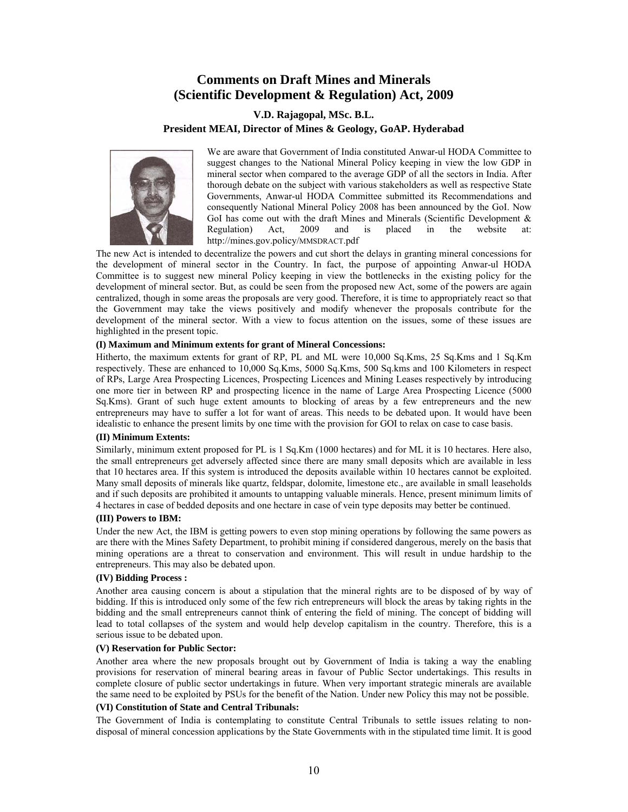# **Comments on Draft Mines and Minerals (Scientific Development & Regulation) Act, 2009**

# **V.D. Rajagopal, MSc. B.L. President MEAI, Director of Mines & Geology, GoAP. Hyderabad**



We are aware that Government of India constituted Anwar-ul HODA Committee to suggest changes to the National Mineral Policy keeping in view the low GDP in mineral sector when compared to the average GDP of all the sectors in India. After thorough debate on the subject with various stakeholders as well as respective State Governments, Anwar-ul HODA Committee submitted its Recommendations and consequently National Mineral Policy 2008 has been announced by the GoI. Now GoI has come out with the draft Mines and Minerals (Scientific Development & Regulation) Act, 2009 and is placed in the website at: http://mines.gov.policy/MMSDRACT.pdf

The new Act is intended to decentralize the powers and cut short the delays in granting mineral concessions for the development of mineral sector in the Country. In fact, the purpose of appointing Anwar-ul HODA Committee is to suggest new mineral Policy keeping in view the bottlenecks in the existing policy for the development of mineral sector. But, as could be seen from the proposed new Act, some of the powers are again centralized, though in some areas the proposals are very good. Therefore, it is time to appropriately react so that the Government may take the views positively and modify whenever the proposals contribute for the development of the mineral sector. With a view to focus attention on the issues, some of these issues are highlighted in the present topic.

# **(I) Maximum and Minimum extents for grant of Mineral Concessions:**

Hitherto, the maximum extents for grant of RP, PL and ML were 10,000 Sq.Kms, 25 Sq.Kms and 1 Sq.Km respectively. These are enhanced to 10,000 Sq.Kms, 5000 Sq.Kms, 500 Sq.kms and 100 Kilometers in respect of RPs, Large Area Prospecting Licences, Prospecting Licences and Mining Leases respectively by introducing one more tier in between RP and prospecting licence in the name of Large Area Prospecting Licence (5000 Sq.Kms). Grant of such huge extent amounts to blocking of areas by a few entrepreneurs and the new entrepreneurs may have to suffer a lot for want of areas. This needs to be debated upon. It would have been idealistic to enhance the present limits by one time with the provision for GOI to relax on case to case basis.

### **(II) Minimum Extents:**

Similarly, minimum extent proposed for PL is 1 Sq.Km (1000 hectares) and for ML it is 10 hectares. Here also, the small entrepreneurs get adversely affected since there are many small deposits which are available in less that 10 hectares area. If this system is introduced the deposits available within 10 hectares cannot be exploited. Many small deposits of minerals like quartz, feldspar, dolomite, limestone etc., are available in small leaseholds and if such deposits are prohibited it amounts to untapping valuable minerals. Hence, present minimum limits of 4 hectares in case of bedded deposits and one hectare in case of vein type deposits may better be continued.

### **(III) Powers to IBM:**

Under the new Act, the IBM is getting powers to even stop mining operations by following the same powers as are there with the Mines Safety Department, to prohibit mining if considered dangerous, merely on the basis that mining operations are a threat to conservation and environment. This will result in undue hardship to the entrepreneurs. This may also be debated upon.

### **(IV) Bidding Process :**

Another area causing concern is about a stipulation that the mineral rights are to be disposed of by way of bidding. If this is introduced only some of the few rich entrepreneurs will block the areas by taking rights in the bidding and the small entrepreneurs cannot think of entering the field of mining. The concept of bidding will lead to total collapses of the system and would help develop capitalism in the country. Therefore, this is a serious issue to be debated upon.

### **(V) Reservation for Public Sector:**

Another area where the new proposals brought out by Government of India is taking a way the enabling provisions for reservation of mineral bearing areas in favour of Public Sector undertakings. This results in complete closure of public sector undertakings in future. When very important strategic minerals are available the same need to be exploited by PSUs for the benefit of the Nation. Under new Policy this may not be possible.

# **(VI) Constitution of State and Central Tribunals:**

The Government of India is contemplating to constitute Central Tribunals to settle issues relating to nondisposal of mineral concession applications by the State Governments with in the stipulated time limit. It is good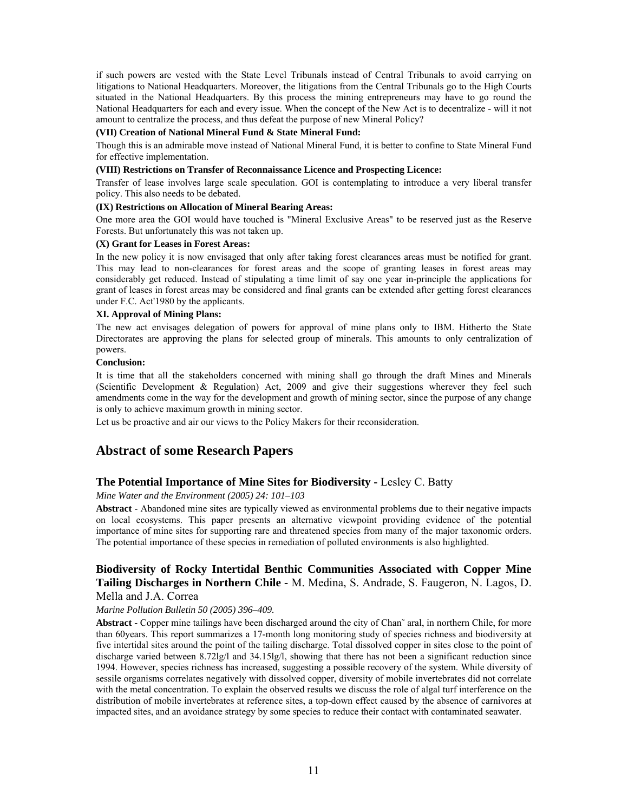if such powers are vested with the State Level Tribunals instead of Central Tribunals to avoid carrying on litigations to National Headquarters. Moreover, the litigations from the Central Tribunals go to the High Courts situated in the National Headquarters. By this process the mining entrepreneurs may have to go round the National Headquarters for each and every issue. When the concept of the New Act is to decentralize - will it not amount to centralize the process, and thus defeat the purpose of new Mineral Policy?

#### **(VII) Creation of National Mineral Fund & State Mineral Fund:**

Though this is an admirable move instead of National Mineral Fund, it is better to confine to State Mineral Fund for effective implementation.

### **(VIII) Restrictions on Transfer of Reconnaissance Licence and Prospecting Licence:**

Transfer of lease involves large scale speculation. GOI is contemplating to introduce a very liberal transfer policy. This also needs to be debated.

### **(IX) Restrictions on Allocation of Mineral Bearing Areas:**

One more area the GOI would have touched is "Mineral Exclusive Areas" to be reserved just as the Reserve Forests. But unfortunately this was not taken up.

#### **(X) Grant for Leases in Forest Areas:**

In the new policy it is now envisaged that only after taking forest clearances areas must be notified for grant. This may lead to non-clearances for forest areas and the scope of granting leases in forest areas may considerably get reduced. Instead of stipulating a time limit of say one year in-principle the applications for grant of leases in forest areas may be considered and final grants can be extended after getting forest clearances under F.C. Act'1980 by the applicants.

#### **XI. Approval of Mining Plans:**

The new act envisages delegation of powers for approval of mine plans only to IBM. Hitherto the State Directorates are approving the plans for selected group of minerals. This amounts to only centralization of powers.

#### **Conclusion:**

It is time that all the stakeholders concerned with mining shall go through the draft Mines and Minerals (Scientific Development & Regulation) Act, 2009 and give their suggestions wherever they feel such amendments come in the way for the development and growth of mining sector, since the purpose of any change is only to achieve maximum growth in mining sector.

Let us be proactive and air our views to the Policy Makers for their reconsideration.

# **Abstract of some Research Papers**

# **The Potential Importance of Mine Sites for Biodiversity - Lesley C. Batty**

## *Mine Water and the Environment (2005) 24: 101–103*

**Abstract** - Abandoned mine sites are typically viewed as environmental problems due to their negative impacts on local ecosystems. This paper presents an alternative viewpoint providing evidence of the potential importance of mine sites for supporting rare and threatened species from many of the major taxonomic orders. The potential importance of these species in remediation of polluted environments is also highlighted.

# **Biodiversity of Rocky Intertidal Benthic Communities Associated with Copper Mine Tailing Discharges in Northern Chile -** M. Medina, S. Andrade, S. Faugeron, N. Lagos, D. Mella and J.A. Correa

### *Marine Pollution Bulletin 50 (2005) 396–409.*

**Abstract -** Copper mine tailings have been discharged around the city of Chan˜ aral, in northern Chile, for more than 60years. This report summarizes a 17-month long monitoring study of species richness and biodiversity at five intertidal sites around the point of the tailing discharge. Total dissolved copper in sites close to the point of discharge varied between 8.72lg/l and 34.15lg/l, showing that there has not been a significant reduction since 1994. However, species richness has increased, suggesting a possible recovery of the system. While diversity of sessile organisms correlates negatively with dissolved copper, diversity of mobile invertebrates did not correlate with the metal concentration. To explain the observed results we discuss the role of algal turf interference on the distribution of mobile invertebrates at reference sites, a top-down effect caused by the absence of carnivores at impacted sites, and an avoidance strategy by some species to reduce their contact with contaminated seawater.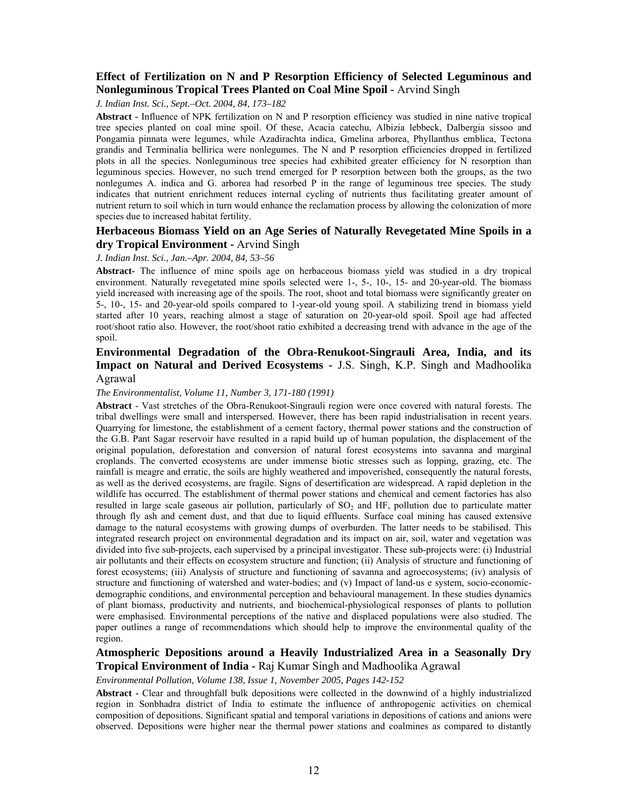# **Effect of Fertilization on N and P Resorption Efficiency of Selected Leguminous and Nonleguminous Tropical Trees Planted on Coal Mine Spoil -** Arvind Singh

*J. Indian Inst. Sci., Sept.–Oct. 2004, 84, 173–182* 

**Abstract -** Influence of NPK fertilization on N and P resorption efficiency was studied in nine native tropical tree species planted on coal mine spoil. Of these, Acacia catechu, Albizia lebbeck, Dalbergia sissoo and Pongamia pinnata were legumes, while Azadirachta indica, Gmelina arborea, Phyllanthus emblica, Tectona grandis and Terminalia bellirica were nonlegumes. The N and P resorption efficiencies dropped in fertilized plots in all the species. Nonleguminous tree species had exhibited greater efficiency for N resorption than leguminous species. However, no such trend emerged for P resorption between both the groups, as the two nonlegumes A. indica and G. arborea had resorbed P in the range of leguminous tree species. The study indicates that nutrient enrichment reduces internal cycling of nutrients thus facilitating greater amount of nutrient return to soil which in turn would enhance the reclamation process by allowing the colonization of more species due to increased habitat fertility.

# **Herbaceous Biomass Yield on an Age Series of Naturally Revegetated Mine Spoils in a dry Tropical Environment -** Arvind Singh

#### *J. Indian Inst. Sci., Jan.–Apr. 2004, 84, 53–56*

**Abstract-** The influence of mine spoils age on herbaceous biomass yield was studied in a dry tropical environment. Naturally revegetated mine spoils selected were 1-, 5-, 10-, 15- and 20-year-old. The biomass yield increased with increasing age of the spoils. The root, shoot and total biomass were significantly greater on 5-, 10-, 15- and 20-year-old spoils compared to 1-year-old young spoil. A stabilizing trend in biomass yield started after 10 years, reaching almost a stage of saturation on 20-year-old spoil. Spoil age had affected root/shoot ratio also. However, the root/shoot ratio exhibited a decreasing trend with advance in the age of the spoil.

# **Environmental Degradation of the Obra-Renukoot-Singrauli Area, India, and its Impact on Natural and Derived Ecosystems -** J.S. Singh, K.P. Singh and Madhoolika Agrawal

#### *The Environmentalist, Volume 11, Number 3, 171-180 (1991)*

**Abstract** - Vast stretches of the Obra-Renukoot-Singrauli region were once covered with natural forests. The tribal dwellings were small and interspersed. However, there has been rapid industrialisation in recent years. Quarrying for limestone, the establishment of a cement factory, thermal power stations and the construction of the G.B. Pant Sagar reservoir have resulted in a rapid build up of human population, the displacement of the original population, deforestation and conversion of natural forest ecosystems into savanna and marginal croplands. The converted ecosystems are under immense biotic stresses such as lopping, grazing, etc. The rainfall is meagre and erratic, the soils are highly weathered and impoverished, consequently the natural forests, as well as the derived ecosystems, are fragile. Signs of desertification are widespread. A rapid depletion in the wildlife has occurred. The establishment of thermal power stations and chemical and cement factories has also resulted in large scale gaseous air pollution, particularly of  $SO<sub>2</sub>$  and HF, pollution due to particulate matter through fly ash and cement dust, and that due to liquid effluents. Surface coal mining has caused extensive damage to the natural ecosystems with growing dumps of overburden. The latter needs to be stabilised. This integrated research project on environmental degradation and its impact on air, soil, water and vegetation was divided into five sub-projects, each supervised by a principal investigator. These sub-projects were: (i) Industrial air pollutants and their effects on ecosystem structure and function; (ii) Analysis of structure and functioning of forest ecosystems; (iii) Analysis of structure and functioning of savanna and agroecosystems; (iv) analysis of structure and functioning of watershed and water-bodies; and (v) Impact of land-us e system, socio-economicdemographic conditions, and environmental perception and behavioural management. In these studies dynamics of plant biomass, productivity and nutrients, and biochemical-physiological responses of plants to pollution were emphasised. Environmental perceptions of the native and displaced populations were also studied. The paper outlines a range of recommendations which should help to improve the environmental quality of the region.

# **Atmospheric Depositions around a Heavily Industrialized Area in a Seasonally Dry Tropical Environment of India -** Raj Kumar Singh and Madhoolika Agrawal

#### *Environmental Pollution, Volume 138, Issue 1, November 2005, Pages 142-152*

**Abstract -** Clear and throughfall bulk depositions were collected in the downwind of a highly industrialized region in Sonbhadra district of India to estimate the influence of anthropogenic activities on chemical composition of depositions. Significant spatial and temporal variations in depositions of cations and anions were observed. Depositions were higher near the thermal power stations and coalmines as compared to distantly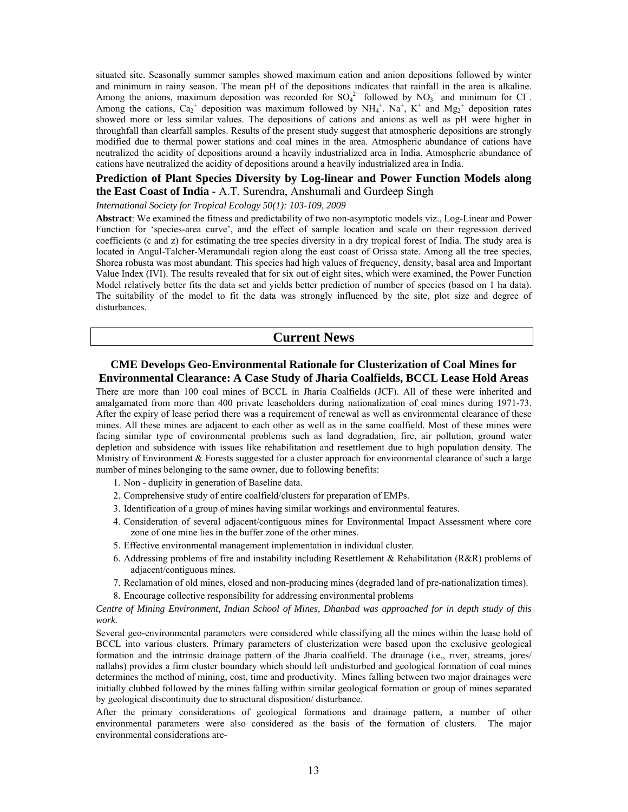situated site. Seasonally summer samples showed maximum cation and anion depositions followed by winter and minimum in rainy season. The mean pH of the depositions indicates that rainfall in the area is alkaline. Among the anions, maximum deposition was recorded for  $SO_4^2$  followed by  $NO_3^-$  and minimum for Cl<sup>−</sup>. Among the cations,  $Ca_2^+$  deposition was maximum followed by  $NH_4^+$ . Na<sup>+</sup>, K<sup>+</sup> and Mg<sub>2</sub><sup>+</sup> deposition rates showed more or less similar values. The depositions of cations and anions as well as pH were higher in throughfall than clearfall samples. Results of the present study suggest that atmospheric depositions are strongly modified due to thermal power stations and coal mines in the area. Atmospheric abundance of cations have neutralized the acidity of depositions around a heavily industrialized area in India. Atmospheric abundance of cations have neutralized the acidity of depositions around a heavily industrialized area in India.

# **Prediction of Plant Species Diversity by Log-linear and Power Function Models along the East Coast of India -** A.T. Surendra, Anshumali and Gurdeep Singh

*International Society for Tropical Ecology 50(1): 103-109, 2009* 

**Abstract**: We examined the fitness and predictability of two non-asymptotic models viz., Log-Linear and Power Function for 'species-area curve', and the effect of sample location and scale on their regression derived coefficients (c and z) for estimating the tree species diversity in a dry tropical forest of India. The study area is located in Angul-Talcher-Meramundali region along the east coast of Orissa state. Among all the tree species, Shorea robusta was most abundant. This species had high values of frequency, density, basal area and Important Value Index (IVI). The results revealed that for six out of eight sites, which were examined, the Power Function Model relatively better fits the data set and yields better prediction of number of species (based on 1 ha data). The suitability of the model to fit the data was strongly influenced by the site, plot size and degree of disturbances.

# **Current News**

# **CME Develops Geo-Environmental Rationale for Clusterization of Coal Mines for Environmental Clearance: A Case Study of Jharia Coalfields, BCCL Lease Hold Areas**

There are more than 100 coal mines of BCCL in Jharia Coalfields (JCF). All of these were inherited and amalgamated from more than 400 private leaseholders during nationalization of coal mines during 1971-73. After the expiry of lease period there was a requirement of renewal as well as environmental clearance of these mines. All these mines are adjacent to each other as well as in the same coalfield. Most of these mines were facing similar type of environmental problems such as land degradation, fire, air pollution, ground water depletion and subsidence with issues like rehabilitation and resettlement due to high population density. The Ministry of Environment & Forests suggested for a cluster approach for environmental clearance of such a large number of mines belonging to the same owner, due to following benefits:

- 1. Non duplicity in generation of Baseline data.
- 2. Comprehensive study of entire coalfield/clusters for preparation of EMPs.
- 3. Identification of a group of mines having similar workings and environmental features.
- 4. Consideration of several adjacent/contiguous mines for Environmental Impact Assessment where core zone of one mine lies in the buffer zone of the other mines.
- 5. Effective environmental management implementation in individual cluster.
- 6. Addressing problems of fire and instability including Resettlement & Rehabilitation (R&R) problems of adjacent/contiguous mines.
- 7. Reclamation of old mines, closed and non-producing mines (degraded land of pre-nationalization times).
- 8. Encourage collective responsibility for addressing environmental problems

#### *Centre of Mining Environment, Indian School of Mines, Dhanbad was approached for in depth study of this work.*

Several geo-environmental parameters were considered while classifying all the mines within the lease hold of BCCL into various clusters. Primary parameters of clusterization were based upon the exclusive geological formation and the intrinsic drainage pattern of the Jharia coalfield. The drainage (i.e., river, streams, jores/ nallahs) provides a firm cluster boundary which should left undisturbed and geological formation of coal mines determines the method of mining, cost, time and productivity. Mines falling between two major drainages were initially clubbed followed by the mines falling within similar geological formation or group of mines separated by geological discontinuity due to structural disposition/ disturbance.

After the primary considerations of geological formations and drainage pattern, a number of other environmental parameters were also considered as the basis of the formation of clusters. The major environmental considerations are-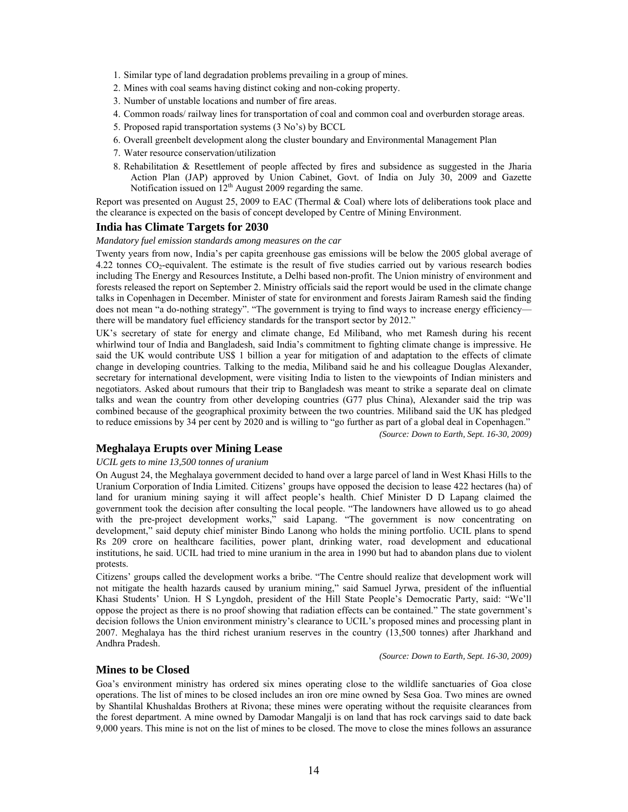- 1. Similar type of land degradation problems prevailing in a group of mines.
- 2. Mines with coal seams having distinct coking and non-coking property.
- 3. Number of unstable locations and number of fire areas.
- 4. Common roads/ railway lines for transportation of coal and common coal and overburden storage areas.
- 5. Proposed rapid transportation systems (3 No's) by BCCL
- 6. Overall greenbelt development along the cluster boundary and Environmental Management Plan
- 7. Water resource conservation/utilization
- 8. Rehabilitation & Resettlement of people affected by fires and subsidence as suggested in the Jharia Action Plan (JAP) approved by Union Cabinet, Govt. of India on July 30, 2009 and Gazette Notification issued on  $12<sup>th</sup>$  August 2009 regarding the same.

Report was presented on August 25, 2009 to EAC (Thermal & Coal) where lots of deliberations took place and the clearance is expected on the basis of concept developed by Centre of Mining Environment.

# **India has Climate Targets for 2030**

*Mandatory fuel emission standards among measures on the car* 

Twenty years from now, India's per capita greenhouse gas emissions will be below the 2005 global average of 4.22 tonnes CO2-equivalent. The estimate is the result of five studies carried out by various research bodies including The Energy and Resources Institute, a Delhi based non-profit. The Union ministry of environment and forests released the report on September 2. Ministry officials said the report would be used in the climate change talks in Copenhagen in December. Minister of state for environment and forests Jairam Ramesh said the finding does not mean "a do-nothing strategy". "The government is trying to find ways to increase energy efficiency there will be mandatory fuel efficiency standards for the transport sector by 2012."

UK's secretary of state for energy and climate change, Ed Miliband, who met Ramesh during his recent whirlwind tour of India and Bangladesh, said India's commitment to fighting climate change is impressive. He said the UK would contribute US\$ 1 billion a year for mitigation of and adaptation to the effects of climate change in developing countries. Talking to the media, Miliband said he and his colleague Douglas Alexander, secretary for international development, were visiting India to listen to the viewpoints of Indian ministers and negotiators. Asked about rumours that their trip to Bangladesh was meant to strike a separate deal on climate talks and wean the country from other developing countries (G77 plus China), Alexander said the trip was combined because of the geographical proximity between the two countries. Miliband said the UK has pledged to reduce emissions by 34 per cent by 2020 and is willing to "go further as part of a global deal in Copenhagen."

*(Source: Down to Earth, Sept. 16-30, 2009)* 

# **Meghalaya Erupts over Mining Lease**

### *UCIL gets to mine 13,500 tonnes of uranium*

On August 24, the Meghalaya government decided to hand over a large parcel of land in West Khasi Hills to the Uranium Corporation of India Limited. Citizens' groups have opposed the decision to lease 422 hectares (ha) of land for uranium mining saying it will affect people's health. Chief Minister D D Lapang claimed the government took the decision after consulting the local people. "The landowners have allowed us to go ahead with the pre-project development works," said Lapang. "The government is now concentrating on development," said deputy chief minister Bindo Lanong who holds the mining portfolio. UCIL plans to spend Rs 209 crore on healthcare facilities, power plant, drinking water, road development and educational institutions, he said. UCIL had tried to mine uranium in the area in 1990 but had to abandon plans due to violent protests.

Citizens' groups called the development works a bribe. "The Centre should realize that development work will not mitigate the health hazards caused by uranium mining," said Samuel Jyrwa, president of the influential Khasi Students' Union. H S Lyngdoh, president of the Hill State People's Democratic Party, said: "We'll oppose the project as there is no proof showing that radiation effects can be contained." The state government's decision follows the Union environment ministry's clearance to UCIL's proposed mines and processing plant in 2007. Meghalaya has the third richest uranium reserves in the country (13,500 tonnes) after Jharkhand and Andhra Pradesh.

*(Source: Down to Earth, Sept. 16-30, 2009)* 

# **Mines to be Closed**

Goa's environment ministry has ordered six mines operating close to the wildlife sanctuaries of Goa close operations. The list of mines to be closed includes an iron ore mine owned by Sesa Goa. Two mines are owned by Shantilal Khushaldas Brothers at Rivona; these mines were operating without the requisite clearances from the forest department. A mine owned by Damodar Mangalji is on land that has rock carvings said to date back 9,000 years. This mine is not on the list of mines to be closed. The move to close the mines follows an assurance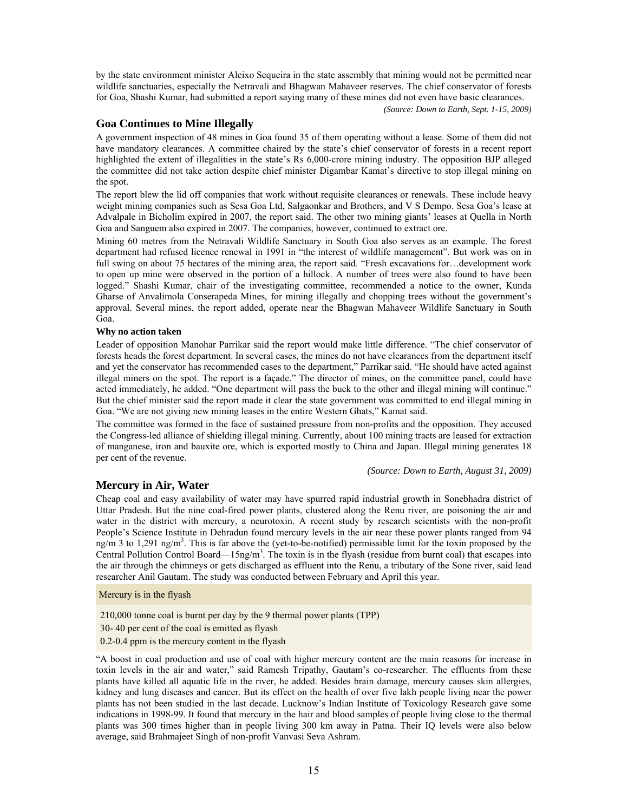by the state environment minister Aleixo Sequeira in the state assembly that mining would not be permitted near wildlife sanctuaries, especially the Netravali and Bhagwan Mahaveer reserves. The chief conservator of forests for Goa, Shashi Kumar, had submitted a report saying many of these mines did not even have basic clearances.

*(Source: Down to Earth, Sept. 1-15, 2009)* 

# **Goa Continues to Mine Illegally**

A government inspection of 48 mines in Goa found 35 of them operating without a lease. Some of them did not have mandatory clearances. A committee chaired by the state's chief conservator of forests in a recent report highlighted the extent of illegalities in the state's Rs 6,000-crore mining industry. The opposition BJP alleged the committee did not take action despite chief minister Digambar Kamat's directive to stop illegal mining on the spot.

The report blew the lid off companies that work without requisite clearances or renewals. These include heavy weight mining companies such as Sesa Goa Ltd, Salgaonkar and Brothers, and V S Dempo. Sesa Goa's lease at Advalpale in Bicholim expired in 2007, the report said. The other two mining giants' leases at Quella in North Goa and Sanguem also expired in 2007. The companies, however, continued to extract ore.

Mining 60 metres from the Netravali Wildlife Sanctuary in South Goa also serves as an example. The forest department had refused licence renewal in 1991 in "the interest of wildlife management". But work was on in full swing on about 75 hectares of the mining area, the report said. "Fresh excavations for…development work to open up mine were observed in the portion of a hillock. A number of trees were also found to have been logged." Shashi Kumar, chair of the investigating committee, recommended a notice to the owner, Kunda Gharse of Anvalimola Conserapeda Mines, for mining illegally and chopping trees without the government's approval. Several mines, the report added, operate near the Bhagwan Mahaveer Wildlife Sanctuary in South Goa.

#### **Why no action taken**

Leader of opposition Manohar Parrikar said the report would make little difference. "The chief conservator of forests heads the forest department. In several cases, the mines do not have clearances from the department itself and yet the conservator has recommended cases to the department," Parrikar said. "He should have acted against illegal miners on the spot. The report is a façade." The director of mines, on the committee panel, could have acted immediately, he added. "One department will pass the buck to the other and illegal mining will continue." But the chief minister said the report made it clear the state government was committed to end illegal mining in Goa. "We are not giving new mining leases in the entire Western Ghats," Kamat said.

The committee was formed in the face of sustained pressure from non-profits and the opposition. They accused the Congress-led alliance of shielding illegal mining. Currently, about 100 mining tracts are leased for extraction of manganese, iron and bauxite ore, which is exported mostly to China and Japan. Illegal mining generates 18 per cent of the revenue.

*(Source: Down to Earth, August 31, 2009)* 

# **Mercury in Air, Water**

Cheap coal and easy availability of water may have spurred rapid industrial growth in Sonebhadra district of Uttar Pradesh. But the nine coal-fired power plants, clustered along the Renu river, are poisoning the air and water in the district with mercury, a neurotoxin. A recent study by research scientists with the non-profit People's Science Institute in Dehradun found mercury levels in the air near these power plants ranged from 94 ng/m 3 to 1,291 ng/m<sup>3</sup>. This is far above the (yet-to-be-notified) permissible limit for the toxin proposed by the Central Pollution Control Board—15ng/m<sup>3</sup>. The toxin is in the flyash (residue from burnt coal) that escapes into the air through the chimneys or gets discharged as effluent into the Renu, a tributary of the Sone river, said lead researcher Anil Gautam. The study was conducted between February and April this year.

Mercury is in the flyash

210,000 tonne coal is burnt per day by the 9 thermal power plants (TPP)

30- 40 per cent of the coal is emitted as flyash

0.2-0.4 ppm is the mercury content in the flyash

"A boost in coal production and use of coal with higher mercury content are the main reasons for increase in toxin levels in the air and water," said Ramesh Tripathy, Gautam's co-researcher. The effluents from these plants have killed all aquatic life in the river, he added. Besides brain damage, mercury causes skin allergies, kidney and lung diseases and cancer. But its effect on the health of over five lakh people living near the power plants has not been studied in the last decade. Lucknow's Indian Institute of Toxicology Research gave some indications in 1998-99. It found that mercury in the hair and blood samples of people living close to the thermal plants was 300 times higher than in people living 300 km away in Patna. Their IQ levels were also below average, said Brahmajeet Singh of non-profit Vanvasi Seva Ashram.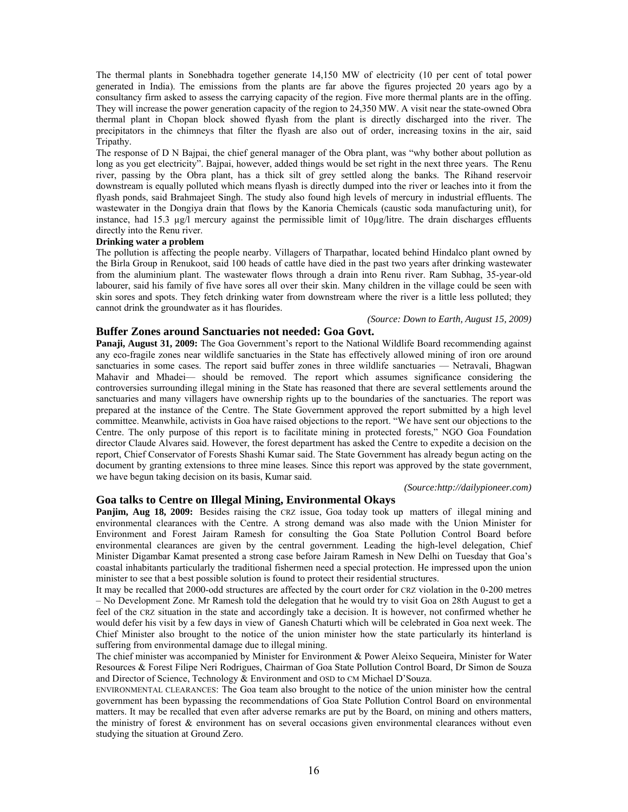The thermal plants in Sonebhadra together generate 14,150 MW of electricity (10 per cent of total power generated in India). The emissions from the plants are far above the figures projected 20 years ago by a consultancy firm asked to assess the carrying capacity of the region. Five more thermal plants are in the offing. They will increase the power generation capacity of the region to 24,350 MW. A visit near the state-owned Obra thermal plant in Chopan block showed flyash from the plant is directly discharged into the river. The precipitators in the chimneys that filter the flyash are also out of order, increasing toxins in the air, said Tripathy.

The response of D N Bajpai, the chief general manager of the Obra plant, was "why bother about pollution as long as you get electricity". Bajpai, however, added things would be set right in the next three years. The Renu river, passing by the Obra plant, has a thick silt of grey settled along the banks. The Rihand reservoir downstream is equally polluted which means flyash is directly dumped into the river or leaches into it from the flyash ponds, said Brahmajeet Singh. The study also found high levels of mercury in industrial effluents. The wastewater in the Dongiya drain that flows by the Kanoria Chemicals (caustic soda manufacturing unit), for instance, had 15.3 µg/l mercury against the permissible limit of 10µg/litre. The drain discharges effluents directly into the Renu river.

#### **Drinking water a problem**

The pollution is affecting the people nearby. Villagers of Tharpathar, located behind Hindalco plant owned by the Birla Group in Renukoot, said 100 heads of cattle have died in the past two years after drinking wastewater from the aluminium plant. The wastewater flows through a drain into Renu river. Ram Subhag, 35-year-old labourer, said his family of five have sores all over their skin. Many children in the village could be seen with skin sores and spots. They fetch drinking water from downstream where the river is a little less polluted; they cannot drink the groundwater as it has flourides.

*(Source: Down to Earth, August 15, 2009)* 

## **Buffer Zones around Sanctuaries not needed: Goa Govt.**

**Panaji, August 31, 2009:** The Goa Government's report to the National Wildlife Board recommending against any eco-fragile zones near wildlife sanctuaries in the State has effectively allowed mining of iron ore around sanctuaries in some cases. The report said buffer zones in three wildlife sanctuaries — Netravali, Bhagwan Mahavir and Mhadei— should be removed. The report which assumes significance considering the controversies surrounding illegal mining in the State has reasoned that there are several settlements around the sanctuaries and many villagers have ownership rights up to the boundaries of the sanctuaries. The report was prepared at the instance of the Centre. The State Government approved the report submitted by a high level committee. Meanwhile, activists in Goa have raised objections to the report. "We have sent our objections to the Centre. The only purpose of this report is to facilitate mining in protected forests," NGO Goa Foundation director Claude Alvares said. However, the forest department has asked the Centre to expedite a decision on the report, Chief Conservator of Forests Shashi Kumar said. The State Government has already begun acting on the document by granting extensions to three mine leases. Since this report was approved by the state government, we have begun taking decision on its basis, Kumar said.

*(Source:http://dailypioneer.com)*

#### **Goa talks to Centre on Illegal Mining, Environmental Okays**

**Panjim, Aug 18, 2009:** Besides raising the CRZ issue, Goa today took up matters of illegal mining and environmental clearances with the Centre. A strong demand was also made with the Union Minister for Environment and Forest Jairam Ramesh for consulting the Goa State Pollution Control Board before environmental clearances are given by the central government. Leading the high-level delegation, Chief Minister Digambar Kamat presented a strong case before Jairam Ramesh in New Delhi on Tuesday that Goa's coastal inhabitants particularly the traditional fishermen need a special protection. He impressed upon the union minister to see that a best possible solution is found to protect their residential structures.

It may be recalled that 2000-odd structures are affected by the court order for CRZ violation in the 0-200 metres – No Development Zone. Mr Ramesh told the delegation that he would try to visit Goa on 28th August to get a feel of the CRZ situation in the state and accordingly take a decision. It is however, not confirmed whether he would defer his visit by a few days in view of Ganesh Chaturti which will be celebrated in Goa next week. The Chief Minister also brought to the notice of the union minister how the state particularly its hinterland is suffering from environmental damage due to illegal mining.

The chief minister was accompanied by Minister for Environment & Power Aleixo Sequeira, Minister for Water Resources & Forest Filipe Neri Rodrigues, Chairman of Goa State Pollution Control Board, Dr Simon de Souza and Director of Science, Technology & Environment and OSD to CM Michael D'Souza.

ENVIRONMENTAL CLEARANCES: The Goa team also brought to the notice of the union minister how the central government has been bypassing the recommendations of Goa State Pollution Control Board on environmental matters. It may be recalled that even after adverse remarks are put by the Board, on mining and others matters, the ministry of forest & environment has on several occasions given environmental clearances without even studying the situation at Ground Zero.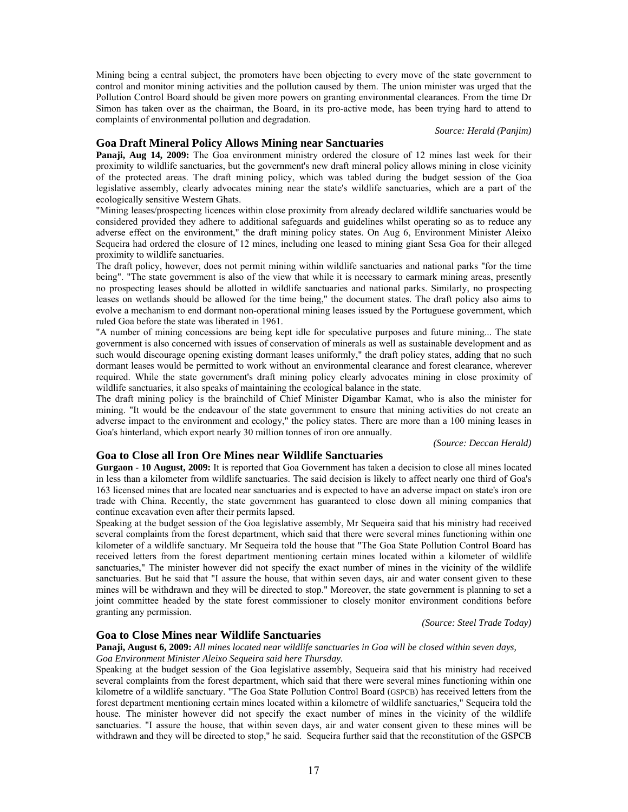Mining being a central subject, the promoters have been objecting to every move of the state government to control and monitor mining activities and the pollution caused by them. The union minister was urged that the Pollution Control Board should be given more powers on granting environmental clearances. From the time Dr Simon has taken over as the chairman, the Board, in its pro-active mode, has been trying hard to attend to complaints of environmental pollution and degradation.

# *Source: Herald (Panjim)*

### **Goa Draft Mineral Policy Allows Mining near Sanctuaries**

**Panaji, Aug 14, 2009:** The Goa environment ministry ordered the closure of 12 mines last week for their proximity to wildlife sanctuaries, but the government's new draft mineral policy allows mining in close vicinity of the protected areas. The draft mining policy, which was tabled during the budget session of the Goa legislative assembly, clearly advocates mining near the state's wildlife sanctuaries, which are a part of the ecologically sensitive Western Ghats.

"Mining leases/prospecting licences within close proximity from already declared wildlife sanctuaries would be considered provided they adhere to additional safeguards and guidelines whilst operating so as to reduce any adverse effect on the environment," the draft mining policy states. On Aug 6, Environment Minister Aleixo Sequeira had ordered the closure of 12 mines, including one leased to mining giant Sesa Goa for their alleged proximity to wildlife sanctuaries.

The draft policy, however, does not permit mining within wildlife sanctuaries and national parks "for the time being". "The state government is also of the view that while it is necessary to earmark mining areas, presently no prospecting leases should be allotted in wildlife sanctuaries and national parks. Similarly, no prospecting leases on wetlands should be allowed for the time being," the document states. The draft policy also aims to evolve a mechanism to end dormant non-operational mining leases issued by the Portuguese government, which ruled Goa before the state was liberated in 1961.

"A number of mining concessions are being kept idle for speculative purposes and future mining... The state government is also concerned with issues of conservation of minerals as well as sustainable development and as such would discourage opening existing dormant leases uniformly," the draft policy states, adding that no such dormant leases would be permitted to work without an environmental clearance and forest clearance, wherever required. While the state government's draft mining policy clearly advocates mining in close proximity of wildlife sanctuaries, it also speaks of maintaining the ecological balance in the state.

The draft mining policy is the brainchild of Chief Minister Digambar Kamat, who is also the minister for mining. "It would be the endeavour of the state government to ensure that mining activities do not create an adverse impact to the environment and ecology," the policy states. There are more than a 100 mining leases in Goa's hinterland, which export nearly 30 million tonnes of iron ore annually.

*(Source: Deccan Herald)* 

## **Goa to Close all Iron Ore Mines near Wildlife Sanctuaries**

**Gurgaon - 10 August, 2009:** It is reported that Goa Government has taken a decision to close all mines located in less than a kilometer from wildlife sanctuaries. The said decision is likely to affect nearly one third of Goa's 163 licensed mines that are located near sanctuaries and is expected to have an adverse impact on state's iron ore trade with China. Recently, the state government has guaranteed to close down all mining companies that continue excavation even after their permits lapsed.

Speaking at the budget session of the Goa legislative assembly, Mr Sequeira said that his ministry had received several complaints from the forest department, which said that there were several mines functioning within one kilometer of a wildlife sanctuary. Mr Sequeira told the house that "The Goa State Pollution Control Board has received letters from the forest department mentioning certain mines located within a kilometer of wildlife sanctuaries," The minister however did not specify the exact number of mines in the vicinity of the wildlife sanctuaries. But he said that "I assure the house, that within seven days, air and water consent given to these mines will be withdrawn and they will be directed to stop." Moreover, the state government is planning to set a joint committee headed by the state forest commissioner to closely monitor environment conditions before granting any permission.

*(Source: Steel Trade Today)* 

### **Goa to Close Mines near Wildlife Sanctuaries**

**Panaji, August 6, 2009:** *All mines located near wildlife sanctuaries in Goa will be closed within seven days, Goa Environment Minister Aleixo Sequeira said here Thursday.*

Speaking at the budget session of the Goa legislative assembly, Sequeira said that his ministry had received several complaints from the forest department, which said that there were several mines functioning within one kilometre of a wildlife sanctuary. "The Goa State Pollution Control Board (GSPCB) has received letters from the forest department mentioning certain mines located within a kilometre of wildlife sanctuaries," Sequeira told the house. The minister however did not specify the exact number of mines in the vicinity of the wildlife sanctuaries. "I assure the house, that within seven days, air and water consent given to these mines will be withdrawn and they will be directed to stop," he said. Sequeira further said that the reconstitution of the GSPCB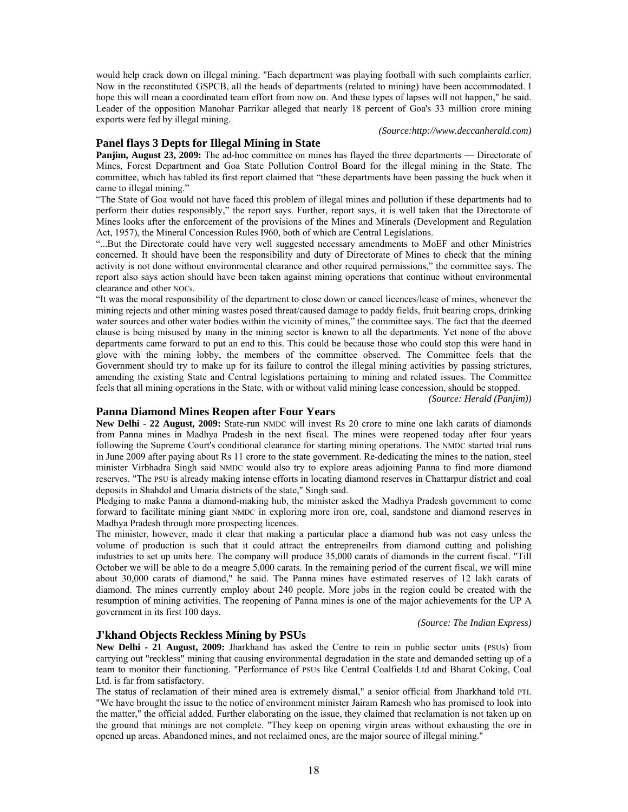would help crack down on illegal mining. "Each department was playing football with such complaints earlier. Now in the reconstituted GSPCB, all the heads of departments (related to mining) have been accommodated. I hope this will mean a coordinated team effort from now on. And these types of lapses will not happen," he said. Leader of the opposition Manohar Parrikar alleged that nearly 18 percent of Goa's 33 million crore mining exports were fed by illegal mining.

#### *(Source:http://www.deccanherald.com)*

### **Panel flays 3 Depts for Illegal Mining in State**

**Panjim, August 23, 2009:** The ad-hoc committee on mines has flayed the three departments — Directorate of Mines, Forest Department and Goa State Pollution Control Board for the illegal mining in the State. The committee, which has tabled its first report claimed that "these departments have been passing the buck when it came to illegal mining."

"The State of Goa would not have faced this problem of illegal mines and pollution if these departments had to perform their duties responsibly," the report says. Further, report says, it is well taken that the Directorate of Mines looks after the enforcement of the provisions of the Mines and Minerals (Development and Regulation Act, 1957), the Mineral Concession Rules I960, both of which are Central Legislations.

"...But the Directorate could have very well suggested necessary amendments to MoEF and other Ministries concerned. It should have been the responsibility and duty of Directorate of Mines to check that the mining activity is not done without environmental clearance and other required permissions," the committee says. The report also says action should have been taken against mining operations that continue without environmental clearance and other NOCs.

"It was the moral responsibility of the department to close down or cancel licences/lease of mines, whenever the mining rejects and other mining wastes posed threat/caused damage to paddy fields, fruit bearing crops, drinking water sources and other water bodies within the vicinity of mines," the committee says. The fact that the deemed clause is being misused by many in the mining sector is known to all the departments. Yet none of the above departments came forward to put an end to this. This could be because those who could stop this were hand in glove with the mining lobby, the members of the committee observed. The Committee feels that the Government should try to make up for its failure to control the illegal mining activities by passing strictures, amending the existing State and Central legislations pertaining to mining and related issues. The Committee feels that all mining operations in the State, with or without valid mining lease concession, should be stopped.

*(Source: Herald (Panjim))* 

## **Panna Diamond Mines Reopen after Four Years**

New Delhi - 22 August, 2009: State-run NMDC will invest Rs 20 crore to mine one lakh carats of diamonds from Panna mines in Madhya Pradesh in the next fiscal. The mines were reopened today after four years following the Supreme Court's conditional clearance for starting mining operations. The NMDC started trial runs in June 2009 after paying about Rs 11 crore to the state government. Re-dedicating the mines to the nation, steel minister Virbhadra Singh said NMDC would also try to explore areas adjoining Panna to find more diamond reserves. "The PSU is already making intense efforts in locating diamond reserves in Chattarpur district and coal deposits in Shahdol and Umaria districts of the state," Singh said.

Pledging to make Panna a diamond-making hub, the minister asked the Madhya Pradesh government to come forward to facilitate mining giant NMDC in exploring more iron ore, coal, sandstone and diamond reserves in Madhya Pradesh through more prospecting licences.

The minister, however, made it clear that making a particular place a diamond hub was not easy unless the volume of production is such that it could attract the entrepreneilrs from diamond cutting and polishing industries to set up units here. The company will produce 35,000 carats of diamonds in the current fiscal. "Till October we will be able to do a meagre 5,000 carats. In the remaining period of the current fiscal, we will mine about 30,000 carats of diamond," he said. The Panna mines have estimated reserves of 12 lakh carats of diamond. The mines currently employ about 240 people. More jobs in the region could be created with the resumption of mining activities. The reopening of Panna mines is one of the major achievements for the UP A government in its first 100 days.

*(Source: The Indian Express)* 

# **J'khand Objects Reckless Mining by PSUs**

**New Delhi - 21 August, 2009:** Jharkhand has asked the Centre to rein in public sector units (PSUs) from carrying out "reckless" mining that causing environmental degradation in the state and demanded setting up of a team to monitor their functioning. "Performance of PSUs like Central Coalfields Ltd and Bharat Coking, Coal Ltd. is far from satisfactory.

The status of reclamation of their mined area is extremely dismal," a senior official from Jharkhand told PTI. "We have brought the issue to the notice of environment minister Jairam Ramesh who has promised to look into the matter," the official added. Further elaborating on the issue, they claimed that reclamation is not taken up on the ground that minings are not complete. "They keep on opening virgin areas without exhausting the ore in opened up areas. Abandoned mines, and not reclaimed ones, are the major source of illegal mining."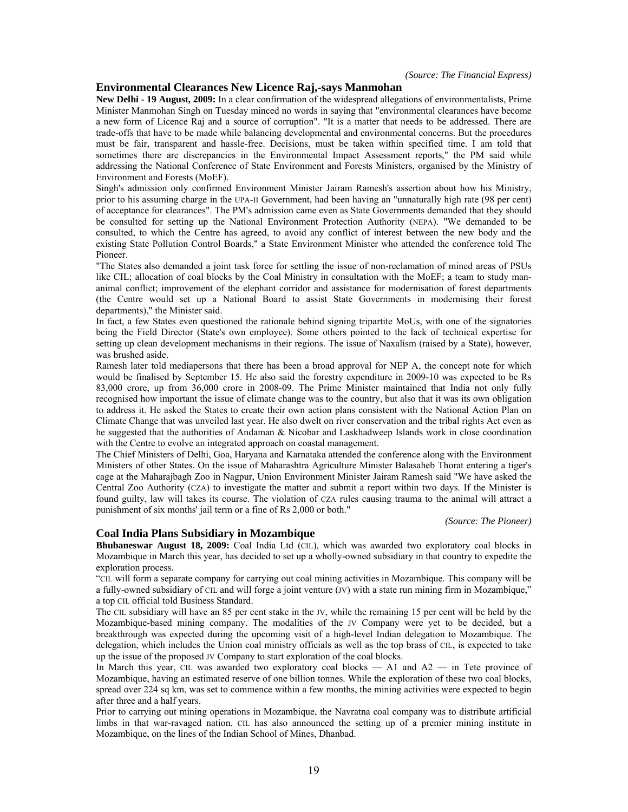### **Environmental Clearances New Licence Raj,-says Manmohan**

**New Delhi - 19 August, 2009:** In a clear confirmation of the widespread allegations of environmentalists, Prime Minister Manmohan Singh on Tuesday minced no words in saying that "environmental clearances have become a new form of Licence Raj and a source of corruption". "It is a matter that needs to be addressed. There are trade-offs that have to be made while balancing developmental and environmental concerns. But the procedures must be fair, transparent and hassle-free. Decisions, must be taken within specified time. I am told that sometimes there are discrepancies in the Environmental Impact Assessment reports," the PM said while addressing the National Conference of State Environment and Forests Ministers, organised by the Ministry of Environment and Forests (MoEF).

Singh's admission only confirmed Environment Minister Jairam Ramesh's assertion about how his Ministry, prior to his assuming charge in the UPA-II Government, had been having an "unnaturally high rate (98 per cent) of acceptance for clearances". The PM's admission came even as State Governments demanded that they should be consulted for setting up the National Environment Protection Authority (NEPA). "We demanded to be consulted, to which the Centre has agreed, to avoid any conflict of interest between the new body and the existing State Pollution Control Boards," a State Environment Minister who attended the conference told The Pioneer.

"The States also demanded a joint task force for settling the issue of non-reclamation of mined areas of PSUs like CIL; allocation of coal blocks by the Coal Ministry in consultation with the MoEF; a team to study mananimal conflict; improvement of the elephant corridor and assistance for modernisation of forest departments (the Centre would set up a National Board to assist State Governments in modernising their forest departments)," the Minister said.

In fact, a few States even questioned the rationale behind signing tripartite MoUs, with one of the signatories being the Field Director (State's own employee). Some others pointed to the lack of technical expertise for setting up clean development mechanisms in their regions. The issue of Naxalism (raised by a State), however, was brushed aside.

Ramesh later told mediapersons that there has been a broad approval for NEP A, the concept note for which would be finalised by September 15. He also said the forestry expenditure in 2009-10 was expected to be Rs 83,000 crore, up from 36,000 crore in 2008-09. The Prime Minister maintained that India not only fully recognised how important the issue of climate change was to the country, but also that it was its own obligation to address it. He asked the States to create their own action plans consistent with the National Action Plan on Climate Change that was unveiled last year. He also dwelt on river conservation and the tribal rights Act even as he suggested that the authorities of Andaman & Nicobar and Laskhadweep Islands work in close coordination with the Centre to evolve an integrated approach on coastal management.

The Chief Ministers of Delhi, Goa, Haryana and Karnataka attended the conference along with the Environment Ministers of other States. On the issue of Maharashtra Agriculture Minister Balasaheb Thorat entering a tiger's cage at the Maharajbagh Zoo in Nagpur, Union Environment Minister Jairam Ramesh said "We have asked the Central Zoo Authority (CZA) to investigate the matter and submit a report within two days. If the Minister is found guilty, law will takes its course. The violation of CZA rules causing trauma to the animal will attract a punishment of six months' jail term or a fine of Rs 2,000 or both."

*(Source: The Pioneer)* 

## **Coal India Plans Subsidiary in Mozambique**

**Bhubaneswar August 18, 2009:** Coal India Ltd (CIL), which was awarded two exploratory coal blocks in Mozambique in March this year, has decided to set up a wholly-owned subsidiary in that country to expedite the exploration process.

"CIL will form a separate company for carrying out coal mining activities in Mozambique. This company will be a fully-owned subsidiary of CIL and will forge a joint venture (JV) with a state run mining firm in Mozambique," a top CIL official told Business Standard.

The CIL subsidiary will have an 85 per cent stake in the JV, while the remaining 15 per cent will be held by the Mozambique-based mining company. The modalities of the JV Company were yet to be decided, but a breakthrough was expected during the upcoming visit of a high-level Indian delegation to Mozambique. The delegation, which includes the Union coal ministry officials as well as the top brass of CIL, is expected to take up the issue of the proposed JV Company to start exploration of the coal blocks.

In March this year, CIL was awarded two exploratory coal blocks — A1 and A2 — in Tete province of Mozambique, having an estimated reserve of one billion tonnes. While the exploration of these two coal blocks, spread over 224 sq km, was set to commence within a few months, the mining activities were expected to begin after three and a half years.

Prior to carrying out mining operations in Mozambique, the Navratna coal company was to distribute artificial limbs in that war-ravaged nation. CIL has also announced the setting up of a premier mining institute in Mozambique, on the lines of the Indian School of Mines, Dhanbad.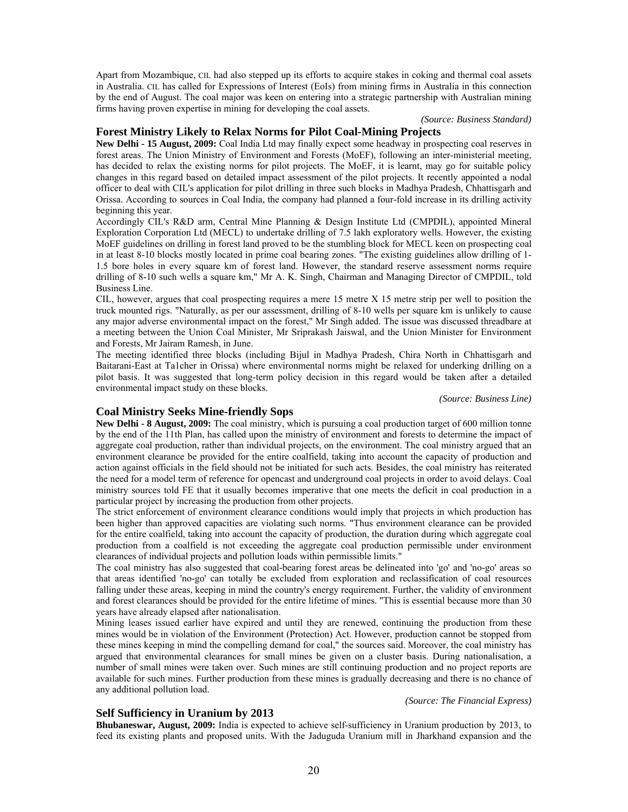Apart from Mozambique, CIL had also stepped up its efforts to acquire stakes in coking and thermal coal assets in Australia. CIL has called for Expressions of Interest (EoIs) from mining firms in Australia in this connection by the end of August. The coal major was keen on entering into a strategic partnership with Australian mining firms having proven expertise in mining for developing the coal assets.

## *(Source: Business Standard)*

# **Forest Ministry Likely to Relax Norms for Pilot Coal-Mining Projects**

**New Delhi - 15 August, 2009:** Coal India Ltd may finally expect some headway in prospecting coal reserves in forest areas. The Union Ministry of Environment and Forests (MoEF), following an inter-ministerial meeting, has decided to relax the existing norms for pilot projects. The MoEF, it is learnt, may go for suitable policy changes in this regard based on detailed impact assessment of the pilot projects. It recently appointed a nodal officer to deal with CIL's application for pilot drilling in three such blocks in Madhya Pradesh, Chhattisgarh and Orissa. According to sources in Coal India, the company had planned a four-fold increase in its drilling activity beginning this year.

Accordingly CIL's R&D arm, Central Mine Planning & Design Institute Ltd (CMPDIL), appointed Mineral Exploration Corporation Ltd (MECL) to undertake drilling of 7.5 lakh exploratory wells. However, the existing MoEF guidelines on drilling in forest land proved to be the stumbling block for MECL keen on prospecting coal in at least 8-10 blocks mostly located in prime coal bearing zones. "The existing guidelines allow drilling of 1- 1.5 bore holes in every square km of forest land. However, the standard reserve assessment norms require drilling of 8-10 such wells a square km," Mr A. K. Singh, Chairman and Managing Director of CMPDIL, told Business Line.

CIL, however, argues that coal prospecting requires a mere 15 metre X 15 metre strip per well to position the truck mounted rigs. "Naturally, as per our assessment, drilling of 8-10 wells per square km is unlikely to cause any major adverse environmental impact on the forest," Mr Singh added. The issue was discussed threadbare at a meeting between the Union Coal Minister, Mr Sriprakash Jaiswal, and the Union Minister for Environment and Forests, Mr Jairam Ramesh, in June.

The meeting identified three blocks (including Bijul in Madhya Pradesh, Chira North in Chhattisgarh and Baitarani-East at Ta1cher in Orissa) where environmental norms might be relaxed for underking drilling on a pilot basis. It was suggested that long-term policy decision in this regard would be taken after a detailed environmental impact study on these blocks.

*(Source: Business Line)* 

# **Coal Ministry Seeks Mine-friendly Sops**

**New Delhi - 8 August, 2009:** The coal ministry, which is pursuing a coal production target of 600 million tonne by the end of the 11th Plan, has called upon the ministry of environment and forests to determine the impact of aggregate coal production, rather than individual projects, on the environment. The coal ministry argued that an environment clearance be provided for the entire coalfield, taking into account the capacity of production and action against officials in the field should not be initiated for such acts. Besides, the coal ministry has reiterated the need for a model term of reference for opencast and underground coal projects in order to avoid delays. Coal ministry sources told FE that it usually becomes imperative that one meets the deficit in coal production in a particular project by increasing the production from other projects.

The strict enforcement of environment clearance conditions would imply that projects in which production has been higher than approved capacities are violating such norms. "Thus environment clearance can be provided for the entire coalfield, taking into account the capacity of production, the duration during which aggregate coal production from a coalfield is not exceeding the aggregate coal production permissible under environment clearances of individual projects and pollution loads within permissible limits."

The coal ministry has also suggested that coal-bearing forest areas be delineated into 'go' and 'no-go' areas so that areas identified 'no-go' can totally be excluded from exploration and reclassification of coal resources falling under these areas, keeping in mind the country's energy requirement. Further, the validity of environment and forest clearances should be provided for the entire lifetime of mines. "This is essential because more than 30 years have already elapsed after nationalisation.

Mining leases issued earlier have expired and until they are renewed, continuing the production from these mines would be in violation of the Environment (Protection) Act. However, production cannot be stopped from these mines keeping in mind the compelling demand for coal," the sources said. Moreover, the coal ministry has argued that environmental clearances for small mines be given on a cluster basis. During nationalisation, a number of small mines were taken over. Such mines are still continuing production and no project reports are available for such mines. Further production from these mines is gradually decreasing and there is no chance of any additional pollution load.

#### *(Source: The Financial Express)*

# **Self Sufficiency in Uranium by 2013**

**Bhubaneswar, August, 2009:** India is expected to achieve self-sufficiency in Uranium production by 2013, to feed its existing plants and proposed units. With the Jaduguda Uranium mill in Jharkhand expansion and the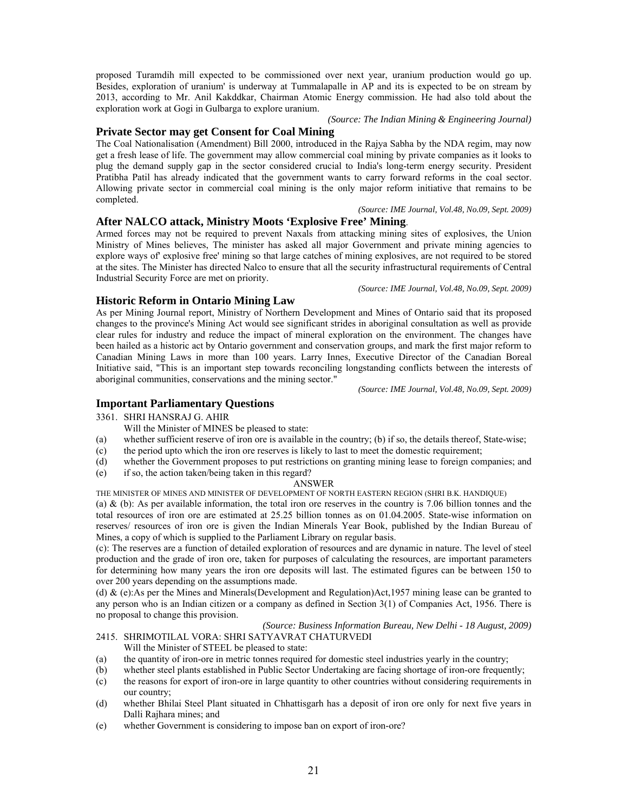proposed Turamdih mill expected to be commissioned over next year, uranium production would go up. Besides, exploration of uranium' is underway at Tummalapalle in AP and its is expected to be on stream by 2013, according to Mr. Anil Kakddkar, Chairman Atomic Energy commission. He had also told about the exploration work at Gogi in Gulbarga to explore uranium.

### *(Source: The Indian Mining & Engineering Journal)*

# **Private Sector may get Consent for Coal Mining**

The Coal Nationalisation (Amendment) Bill 2000, introduced in the Rajya Sabha by the NDA regim, may now get a fresh lease of life. The government may allow commercial coal mining by private companies as it looks to plug the demand supply gap in the sector considered crucial to India's long-term energy security. President Pratibha Patil has already indicated that the government wants to carry forward reforms in the coal sector. Allowing private sector in commercial coal mining is the only major reform initiative that remains to be completed.

*(Source: IME Journal, Vol.48, No.09, Sept. 2009)*

# **After NALCO attack, Ministry Moots 'Explosive Free' Mining**.

Armed forces may not be required to prevent Naxals from attacking mining sites of explosives, the Union Ministry of Mines believes, The minister has asked all major Government and private mining agencies to explore ways of' explosive free' mining so that large catches of mining explosives, are not required to be stored at the sites. The Minister has directed Nalco to ensure that all the security infrastructural requirements of Central Industrial Security Force are met on priority.

*(Source: IME Journal, Vol.48, No.09, Sept. 2009)*

# **Historic Reform in Ontario Mining Law**

As per Mining Journal report, Ministry of Northern Development and Mines of Ontario said that its proposed changes to the province's Mining Act would see significant strides in aboriginal consultation as well as provide clear rules for industry and reduce the impact of mineral exploration on the environment. The changes have been hailed as a historic act by Ontario government and conservation groups, and mark the first major reform to Canadian Mining Laws in more than 100 years. Larry Innes, Executive Director of the Canadian Boreal Initiative said, "This is an important step towards reconciling longstanding conflicts between the interests of aboriginal communities, conservations and the mining sector."

*(Source: IME Journal, Vol.48, No.09, Sept. 2009)*

# **Important Parliamentary Questions**

3361. SHRI HANSRAJ G. AHIR

Will the Minister of MINES be pleased to state:

- (a) whether sufficient reserve of iron ore is available in the country; (b) if so, the details thereof, State-wise;
- (c) the period upto which the iron ore reserves is likely to last to meet the domestic requirement;
- (d) whether the Government proposes to put restrictions on granting mining lease to foreign companies; and
- (e) if so, the action taken/being taken in this regard?

### ANSWER

THE MINISTER OF MINES AND MINISTER OF DEVELOPMENT OF NORTH EASTERN REGION (SHRI B.K. HANDIQUE)

(a)  $\&$  (b): As per available information, the total iron ore reserves in the country is 7.06 billion tonnes and the total resources of iron ore are estimated at 25.25 billion tonnes as on 01.04.2005. State-wise information on reserves/ resources of iron ore is given the Indian Minerals Year Book, published by the Indian Bureau of Mines, a copy of which is supplied to the Parliament Library on regular basis.

(c): The reserves are a function of detailed exploration of resources and are dynamic in nature. The level of steel production and the grade of iron ore, taken for purposes of calculating the resources, are important parameters for determining how many years the iron ore deposits will last. The estimated figures can be between 150 to over 200 years depending on the assumptions made.

(d) & (e):As per the Mines and Minerals(Development and Regulation)Act,1957 mining lease can be granted to any person who is an Indian citizen or a company as defined in Section 3(1) of Companies Act, 1956. There is no proposal to change this provision.

*(Source: Business Information Bureau, New Delhi - 18 August, 2009)*  2415. SHRIMOTILAL VORA: SHRI SATYAVRAT CHATURVEDI

Will the Minister of STEEL be pleased to state:

- (a) the quantity of iron-ore in metric tonnes required for domestic steel industries yearly in the country;
- (b) whether steel plants established in Public Sector Undertaking are facing shortage of iron-ore frequently;
- (c) the reasons for export of iron-ore in large quantity to other countries without considering requirements in our country;
- (d) whether Bhilai Steel Plant situated in Chhattisgarh has a deposit of iron ore only for next five years in Dalli Rajhara mines; and
- (e) whether Government is considering to impose ban on export of iron-ore?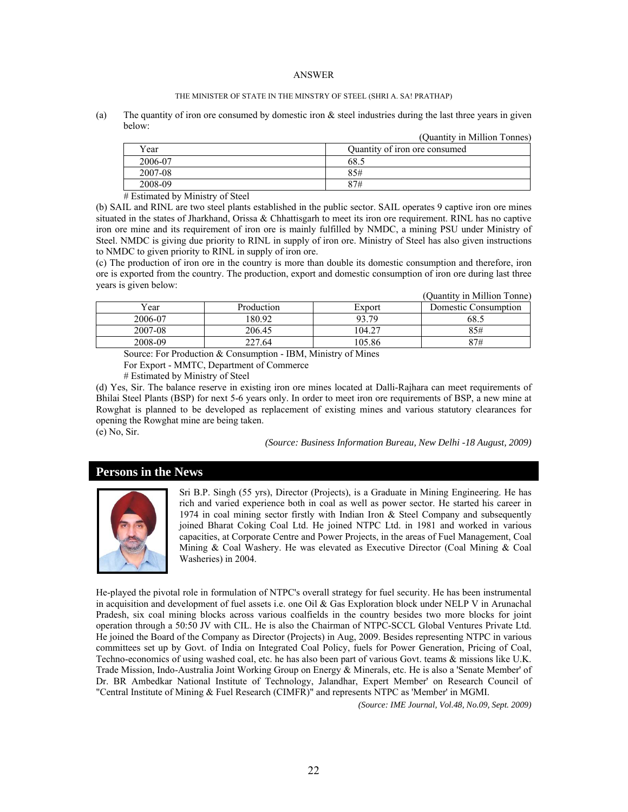#### ANSWER

#### THE MINISTER OF STATE IN THE MINSTRY OF STEEL (SHRI A. SA! PRATHAP)

(a) The quantity of iron ore consumed by domestic iron  $\&$  steel industries during the last three years in given below:  $\langle \cdot, \cdot \rangle$  is million Tonnes

|         | (Quantity in Million Tonnes)  |
|---------|-------------------------------|
| Year    | Quantity of iron ore consumed |
| 2006-07 | 68.5                          |
| 2007-08 | 85#                           |
| 2008-09 | 87#                           |

# Estimated by Ministry of Steel

(b) SAIL and RINL are two steel plants established in the public sector. SAIL operates 9 captive iron ore mines situated in the states of Jharkhand, Orissa & Chhattisgarh to meet its iron ore requirement. RINL has no captive iron ore mine and its requirement of iron ore is mainly fulfilled by NMDC, a mining PSU under Ministry of Steel. NMDC is giving due priority to RINL in supply of iron ore. Ministry of Steel has also given instructions to NMDC to given priority to RINL in supply of iron ore.

(c) The production of iron ore in the country is more than double its domestic consumption and therefore, iron ore is exported from the country. The production, export and domestic consumption of iron ore during last three years is given below: (Quantity in Million Tonne)

|         |            |        | (Quantity in Million Tonne) |
|---------|------------|--------|-----------------------------|
| Year    | Production | Export | Domestic Consumption        |
| 2006-07 | 180.92     | 93.79  | 68.5                        |
| 2007-08 | 206.45     | 104.27 | 85#                         |
| 2008-09 | 227.64     | 105.86 | 87#                         |
|         |            |        |                             |

Source: For Production & Consumption - IBM, Ministry of Mines

For Export - MMTC, Department of Commerce

# Estimated by Ministry of Steel

(d) Yes, Sir. The balance reserve in existing iron ore mines located at Dalli-Rajhara can meet requirements of Bhilai Steel Plants (BSP) for next 5-6 years only. In order to meet iron ore requirements of BSP, a new mine at Rowghat is planned to be developed as replacement of existing mines and various statutory clearances for opening the Rowghat mine are being taken. (e) No, Sir.

*(Source: Business Information Bureau, New Delhi -18 August, 2009)* 

# **Persons in the News**



Sri B.P. Singh (55 yrs), Director (Projects), is a Graduate in Mining Engineering. He has rich and varied experience both in coal as well as power sector. He started his career in 1974 in coal mining sector firstly with Indian Iron & Steel Company and subsequently joined Bharat Coking Coal Ltd. He joined NTPC Ltd. in 1981 and worked in various capacities, at Corporate Centre and Power Projects, in the areas of Fuel Management, Coal Mining & Coal Washery. He was elevated as Executive Director (Coal Mining & Coal Washeries) in 2004.

He-played the pivotal role in formulation of NTPC's overall strategy for fuel security. He has been instrumental in acquisition and development of fuel assets i.e. one Oil & Gas Exploration block under NELP V in Arunachal Pradesh, six coal mining blocks across various coalfields in the country besides two more blocks for joint operation through a 50:50 JV with CIL. He is also the Chairman of NTPC-SCCL Global Ventures Private Ltd. He joined the Board of the Company as Director (Projects) in Aug, 2009. Besides representing NTPC in various committees set up by Govt. of India on Integrated Coal Policy, fuels for Power Generation, Pricing of Coal, Techno-economics of using washed coal, etc. he has also been part of various Govt. teams & missions like U.K. Trade Mission, Indo-Australia Joint Working Group on Energy & Minerals, etc. He is also a 'Senate Member' of Dr. BR Ambedkar National Institute of Technology, Jalandhar, Expert Member' on Research Council of "Central Institute of Mining & Fuel Research (CIMFR)" and represents NTPC as 'Member' in MGMI.

*(Source: IME Journal, Vol.48, No.09, Sept. 2009)*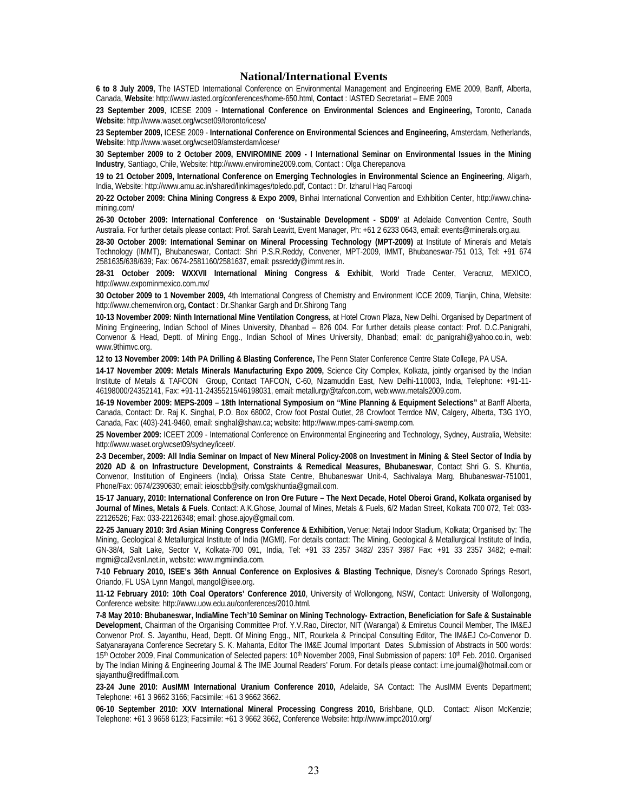### **National/International Events**

**6 to 8 July 2009,** The IASTED International Conference on Environmental Management and Engineering EME 2009, Banff, Alberta, Canada, **Website**: http://www.iasted.org/conferences/home-650.html, **Contact** : IASTED Secretariat – EME 2009

**23 September 2009**, ICESE 2009 - **International Conference on Environmental Sciences and Engineering,** Toronto, Canada **Website**: http://www.waset.org/wcset09/toronto/icese/

**23 September 2009,** ICESE 2009 - **International Conference on Environmental Sciences and Engineering,** Amsterdam, Netherlands, **Website**: http://www.waset.org/wcset09/amsterdam/icese/

**30 September 2009 to 2 October 2009, ENVIROMINE 2009 - I International Seminar on Environmental Issues in the Mining Industry**, Santiago, Chile, Website: http://www.enviromine2009.com, Contact : Olga Cherepanova

**19 to 21 October 2009, International Conference on Emerging Technologies in Environmental Science an Engineering**, Aligarh, India, Website: http://www.amu.ac.in/shared/linkimages/toledo.pdf, Contact : Dr. Izharul Haq Farooqi

**20-22 October 2009: China Mining Congress & Expo 2009,** Binhai International Convention and Exhibition Center, http://www.chinamining.com/

26-30 October 2009: International Conference on 'Sustainable Development - SD09' at Adelaide Convention Centre, South Australia. For further details please contact: Prof. Sarah Leavitt, Event Manager, Ph: +61 2 6233 0643, email: events@minerals.org.au.

**28-30 October 2009: International Seminar on Mineral Processing Technology (MPT-2009)** at Institute of Minerals and Metals Technology (IMMT), Bhubaneswar, Contact: Shri P.S.R.Reddy, Convener, MPT-2009, IMMT, Bhubaneswar-751 013, Tel: +91 674 2581635/638/639; Fax: 0674-2581160/2581637, email: pssreddy@immt.res.in.

**28-31 October 2009: WXXVII International Mining Congress & Exhibit**, World Trade Center, Veracruz, MEXICO, http://www.expominmexico.com.mx/

**30 October 2009 to 1 November 2009,** 4th International Congress of Chemistry and Environment ICCE 2009, Tianjin, China, Website: http://www.chemenviron.org**, Contact** : Dr.Shankar Gargh and Dr.Shirong Tang

**10-13 November 2009: Ninth International Mine Ventilation Congress,** at Hotel Crown Plaza, New Delhi. Organised by Department of Mining Engineering, Indian School of Mines University, Dhanbad – 826 004. For further details please contact: Prof. D.C.Panigrahi, Convenor & Head, Deptt. of Mining Engg., Indian School of Mines University, Dhanbad; email: dc\_panigrahi@yahoo.co.in, web: www.9thimvc.org.

**12 to 13 November 2009: 14th PA Drilling & Blasting Conference,** The Penn Stater Conference Centre State College, PA USA.

**14-17 November 2009: Metals Minerals Manufacturing Expo 2009,** Science City Complex, Kolkata, jointly organised by the Indian Institute of Metals & TAFCON Group, Contact TAFCON, C-60, Nizamuddin East, New Delhi-110003, India, Telephone: +91-11- 46198000/24352141, Fax: +91-11-24355215/46198031, email: metallurgy@tafcon.com, web:www.metals2009.com.

**16-19 November 2009: MEPS-2009 – 18th International Symposium on "Mine Planning & Equipment Selections"** at Banff Alberta, Canada, Contact: Dr. Raj K. Singhal, P.O. Box 68002, Crow foot Postal Outlet, 28 Crowfoot Terrdce NW, Calgery, Alberta, T3G 1YO, Canada, Fax: (403)-241-9460, email: singhal@shaw.ca; website: http://www.mpes-cami-swemp.com.

**25 November 2009:** ICEET 2009 - International Conference on Environmental Engineering and Technology, Sydney, Australia, Website: http://www.waset.org/wcset09/sydney/iceet/.

**2-3 December, 2009: All India Seminar on Impact of New Mineral Policy-2008 on Investment in Mining & Steel Sector of India by 2020 AD & on Infrastructure Development, Constraints & Remedical Measures, Bhubaneswar**, Contact Shri G. S. Khuntia, Convenor, Institution of Engineers (India), Orissa State Centre, Bhubaneswar Unit-4, Sachivalaya Marg, Bhubaneswar-751001, Phone/Fax: 0674/2390630; email: ieioscbb@sify.com/gskhuntia@gmail.com.

**15-17 January, 2010: International Conference on Iron Ore Future – The Next Decade, Hotel Oberoi Grand, Kolkata organised by Journal of Mines, Metals & Fuels**. Contact: A.K.Ghose, Journal of Mines, Metals & Fuels, 6/2 Madan Street, Kolkata 700 072, Tel: 033- 22126526; Fax: 033-22126348; email: ghose.ajoy@gmail.com.

**22-25 January 2010: 3rd Asian Mining Congress Conference & Exhibition,** Venue: Netaji Indoor Stadium, Kolkata; Organised by: The Mining, Geological & Metallurgical Institute of India (MGMI). For details contact: The Mining, Geological & Metallurgical Institute of India, GN-38/4, Salt Lake, Sector V, Kolkata-700 091, India, Tel: +91 33 2357 3482/ 2357 3987 Fax: +91 33 2357 3482; e-mail: mgmi@cal2vsnl.net.in, website: www.mgmiindia.com.

**7-10 February 2010, ISEE's 36th Annual Conference on Explosives & Blasting Technique**, Disney's Coronado Springs Resort, Oriando, FL USA Lynn Mangol, mangol@isee.org.

**11-12 February 2010: 10th Coal Operators' Conference 2010**, University of Wollongong, NSW, Contact: University of Wollongong, Conference website: http://www.uow.edu.au/conferences/2010.html.

**7-8 May 2010: Bhubaneswar, IndiaMine Tech'10 Seminar on Mining Technology- Extraction, Beneficiation for Safe & Sustainable Development**, Chairman of the Organising Committee Prof. Y.V.Rao, Director, NIT (Warangal) & Emiretus Council Member, The IM&EJ Convenor Prof. S. Jayanthu, Head, Deptt. Of Mining Engg., NIT, Rourkela & Principal Consulting Editor, The IM&EJ Co-Convenor D. Satyanarayana Conference Secretary S. K. Mahanta, Editor The IM&E Journal Important Dates Submission of Abstracts in 500 words: 15<sup>th</sup> October 2009, Final Communication of Selected papers: 10<sup>th</sup> November 2009, Final Submission of papers: 10<sup>th</sup> Feb. 2010. Organised by The Indian Mining & Engineering Journal & The IME Journal Readers' Forum. For details please contact: i.me.journal@hotmail.com or sjayanthu@rediffmail.com.

**23-24 June 2010: AusIMM International Uranium Conference 2010,** Adelaide, SA Contact: The AusIMM Events Department; Telephone: +61 3 9662 3166; Facsimile: +61 3 9662 3662.

**06-10 September 2010: XXV International Mineral Processing Congress 2010,** Brishbane, QLD. Contact: Alison McKenzie; Telephone: +61 3 9658 6123; Facsimile: +61 3 9662 3662, Conference Website: http://www.impc2010.org/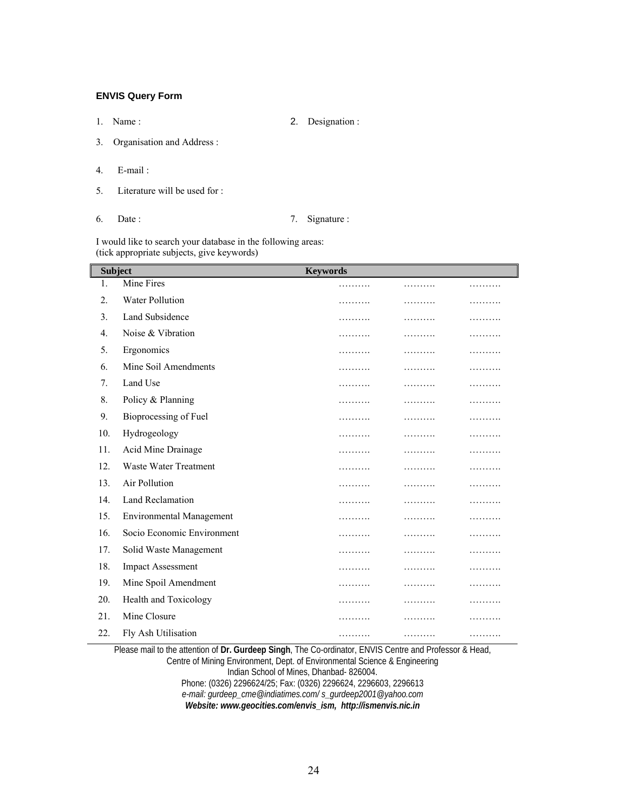# **ENVIS Query Form**

1. Name :2. Designation :

- 3. Organisation and Address :
- 4. E-mail :
- 5. Literature will be used for :
- 

# 6. Date : 7. Signature :

I would like to search your database in the following areas: (tick appropriate subjects, give keywords)

| <b>Subject</b>   |                                 | <b>Keywords</b> |   |   |  |
|------------------|---------------------------------|-----------------|---|---|--|
| 1.               | Mine Fires                      | .               | . | . |  |
| $\overline{2}$ . | <b>Water Pollution</b>          | .               | . | . |  |
| 3.               | Land Subsidence                 | .               | . | . |  |
| $4_{\cdot}$      | Noise & Vibration               | .               | . | . |  |
| 5.               | Ergonomics                      | .               | . | . |  |
| 6.               | Mine Soil Amendments            | .               | . | . |  |
| 7.               | Land Use                        | .               | . | . |  |
| 8.               | Policy & Planning               | .               | . | . |  |
| 9.               | Bioprocessing of Fuel           | .               | . | . |  |
| 10.              | Hydrogeology                    | .               | . | . |  |
| 11.              | Acid Mine Drainage              | .               | . | . |  |
| 12.              | <b>Waste Water Treatment</b>    | .               | . | . |  |
| 13.              | Air Pollution                   | .               | . | . |  |
| 14.              | <b>Land Reclamation</b>         | .               | . | . |  |
| 15.              | <b>Environmental Management</b> | .               | . | . |  |
| 16.              | Socio Economic Environment      | .               | . | . |  |
| 17.              | Solid Waste Management          | .               | . | . |  |
| 18.              | <b>Impact Assessment</b>        | .               | . | . |  |
| 19.              | Mine Spoil Amendment            | .               | . | . |  |
| 20.              | Health and Toxicology           | .               | . | . |  |
| 21.              | Mine Closure                    | .               | . | . |  |
| 22.              | Fly Ash Utilisation             | .               | . | . |  |

Please mail to the attention of **Dr. Gurdeep Singh**, The Co-ordinator, ENVIS Centre and Professor & Head, Centre of Mining Environment, Dept. of Environmental Science & Engineering Indian School of Mines, Dhanbad- 826004. Phone: (0326) 2296624/25; Fax: (0326) 2296624, 2296603, 2296613 *e-mail: gurdeep\_cme@indiatimes.com/ s\_gurdeep2001@yahoo.com* 

*Website: www.geocities.com/envis\_ism, http://ismenvis.nic.in*